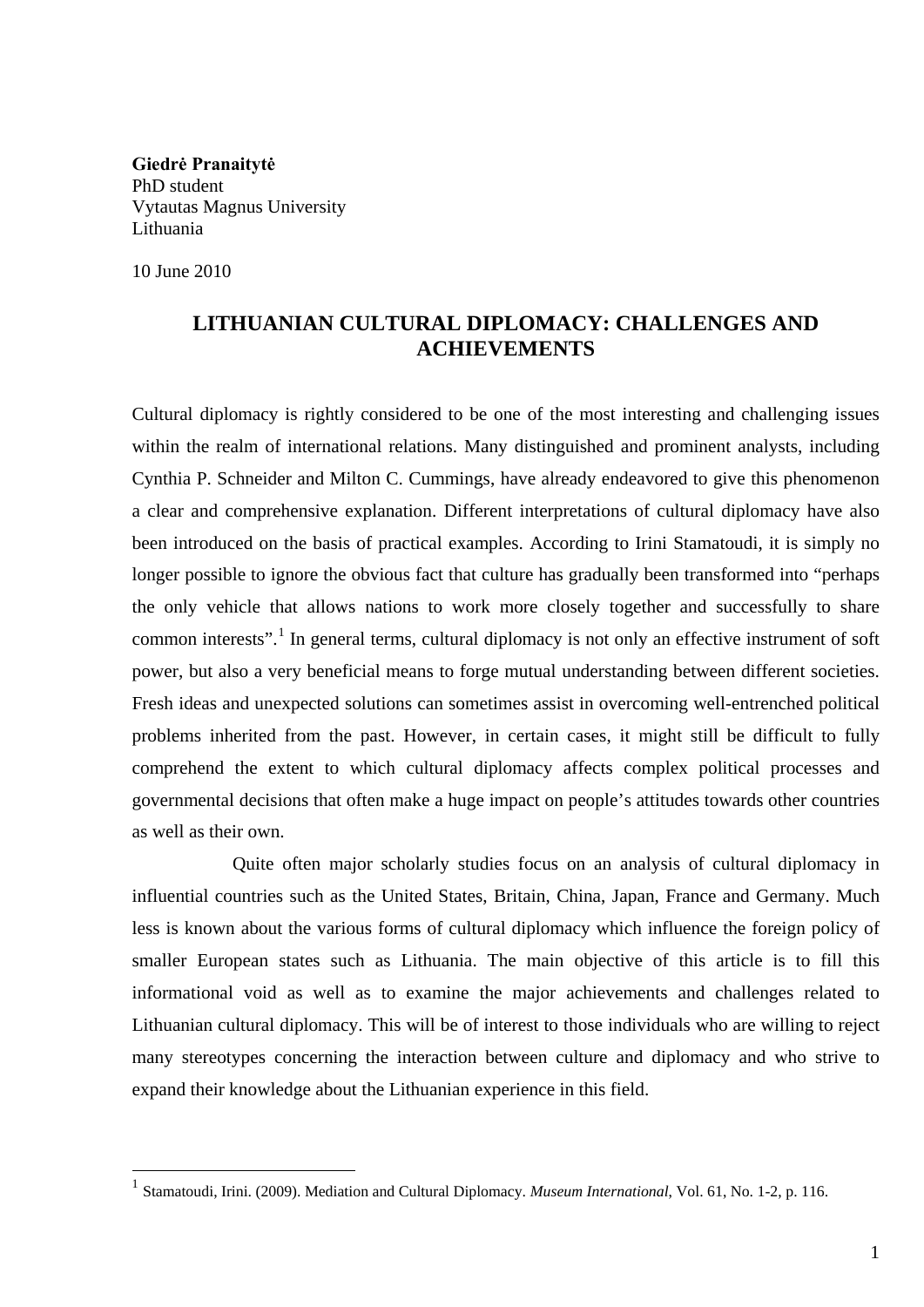**Giedrė Pranaitytė** PhD student Vytautas Magnus University Lithuania

10 June 2010

## **LITHUANIAN CULTURAL DIPLOMACY: CHALLENGES AND ACHIEVEMENTS**

Cultural diplomacy is rightly considered to be one of the most interesting and challenging issues within the realm of international relations. Many distinguished and prominent analysts, including Cynthia P. Schneider and Milton C. Cummings, have already endeavored to give this phenomenon a clear and comprehensive explanation. Different interpretations of cultural diplomacy have also been introduced on the basis of practical examples. According to Irini Stamatoudi, it is simply no longer possible to ignore the obvious fact that culture has gradually been transformed into "perhaps the only vehicle that allows nations to work more closely together and successfully to share common interests".<sup>[1](#page-0-0)</sup> In general terms, cultural diplomacy is not only an effective instrument of soft power, but also a very beneficial means to forge mutual understanding between different societies. Fresh ideas and unexpected solutions can sometimes assist in overcoming well-entrenched political problems inherited from the past. However, in certain cases, it might still be difficult to fully comprehend the extent to which cultural diplomacy affects complex political processes and governmental decisions that often make a huge impact on people's attitudes towards other countries as well as their own.

Quite often major scholarly studies focus on an analysis of cultural diplomacy in influential countries such as the United States, Britain, China, Japan, France and Germany. Much less is known about the various forms of cultural diplomacy which influence the foreign policy of smaller European states such as Lithuania. The main objective of this article is to fill this informational void as well as to examine the major achievements and challenges related to Lithuanian cultural diplomacy. This will be of interest to those individuals who are willing to reject many stereotypes concerning the interaction between culture and diplomacy and who strive to expand their knowledge about the Lithuanian experience in this field.

<span id="page-0-0"></span> <sup>1</sup> Stamatoudi, Irini. (2009). Mediation and Cultural Diplomacy. *Museum International*, Vol. 61, No. 1-2, p. 116.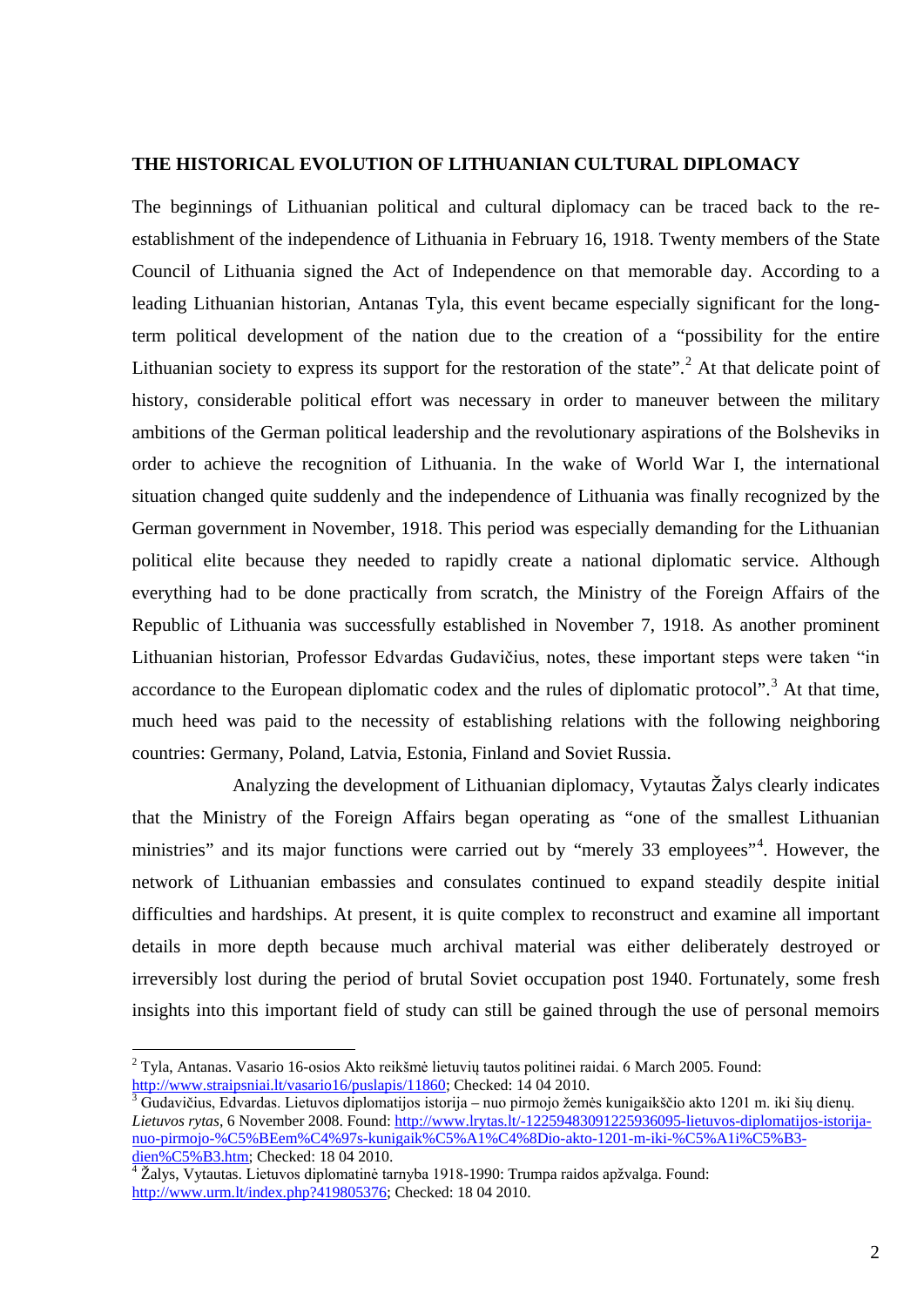## **THE HISTORICAL EVOLUTION OF LITHUANIAN CULTURAL DIPLOMACY**

The beginnings of Lithuanian political and cultural diplomacy can be traced back to the reestablishment of the independence of Lithuania in February 16, 1918. Twenty members of the State Council of Lithuania signed the Act of Independence on that memorable day. According to a leading Lithuanian historian, Antanas Tyla, this event became especially significant for the longterm political development of the nation due to the creation of a "possibility for the entire Lithuanian society to express its support for the restoration of the state".<sup>[2](#page-1-0)</sup> At that delicate point of history, considerable political effort was necessary in order to maneuver between the military ambitions of the German political leadership and the revolutionary aspirations of the Bolsheviks in order to achieve the recognition of Lithuania. In the wake of World War I, the international situation changed quite suddenly and the independence of Lithuania was finally recognized by the German government in November, 1918. This period was especially demanding for the Lithuanian political elite because they needed to rapidly create a national diplomatic service. Although everything had to be done practically from scratch, the Ministry of the Foreign Affairs of the Republic of Lithuania was successfully established in November 7, 1918. As another prominent Lithuanian historian, Professor Edvardas Gudavičius, notes, these important steps were taken "in accordance to the European diplomatic codex and the rules of diplomatic protocol".<sup>[3](#page-1-1)</sup> At that time, much heed was paid to the necessity of establishing relations with the following neighboring countries: Germany, Poland, Latvia, Estonia, Finland and Soviet Russia.

Analyzing the development of Lithuanian diplomacy, Vytautas Žalys clearly indicates that the Ministry of the Foreign Affairs began operating as "one of the smallest Lithuanian ministries" and its major functions were carried out by "merely 33 employees"<sup>[4](#page-1-2)</sup>. However, the network of Lithuanian embassies and consulates continued to expand steadily despite initial difficulties and hardships. At present, it is quite complex to reconstruct and examine all important details in more depth because much archival material was either deliberately destroyed or irreversibly lost during the period of brutal Soviet occupation post 1940. Fortunately, some fresh insights into this important field of study can still be gained through the use of personal memoirs

<span id="page-1-0"></span> <sup>2</sup> Tyla, Antanas. Vasario 16-osios Akto reikšmė lietuvių tautos politinei raidai. 6 March 2005. Found:

<span id="page-1-1"></span>[http://www.straipsniai.lt/vasario16/puslapis/11860;](http://www.straipsniai.lt/vasario16/puslapis/11860) Checked: 14 04 2010.<br><sup>3</sup> Gudavičius, Edvardas. Lietuvos diplomatijos istorija – nuo pirmojo žemės kunigaikščio akto 1201 m. iki šių dienų. *Lietuvos rytas,* 6 November 2008. Found[: http://www.lrytas.lt/-12259483091225936095-lietuvos-diplomatijos-istorija](http://www.lrytas.lt/-12259483091225936095-lietuvos-diplomatijos-istorija-nuo-pirmojo-%C5%BEem%C4%97s-kunigaik%C5%A1%C4%8Dio-akto-1201-m-iki-%C5%A1i%C5%B3-dien%C5%B3.htm)[nuo-pirmojo-%C5%BEem%C4%97s-kunigaik%C5%A1%C4%8Dio-akto-1201-m-iki-%C5%A1i%C5%B3-](http://www.lrytas.lt/-12259483091225936095-lietuvos-diplomatijos-istorija-nuo-pirmojo-%C5%BEem%C4%97s-kunigaik%C5%A1%C4%8Dio-akto-1201-m-iki-%C5%A1i%C5%B3-dien%C5%B3.htm)<br>dien%C5%B3.htm; Checked: 18 04 2010.

<span id="page-1-2"></span><sup>&</sup>lt;sup>4</sup> Žalys, Vytautas. Lietuvos diplomatinė tarnyba 1918-1990: Trumpa raidos apžvalga. Found: [http://www.urm.lt/index.php?419805376;](http://www.urm.lt/index.php?419805376) Checked: 18 04 2010.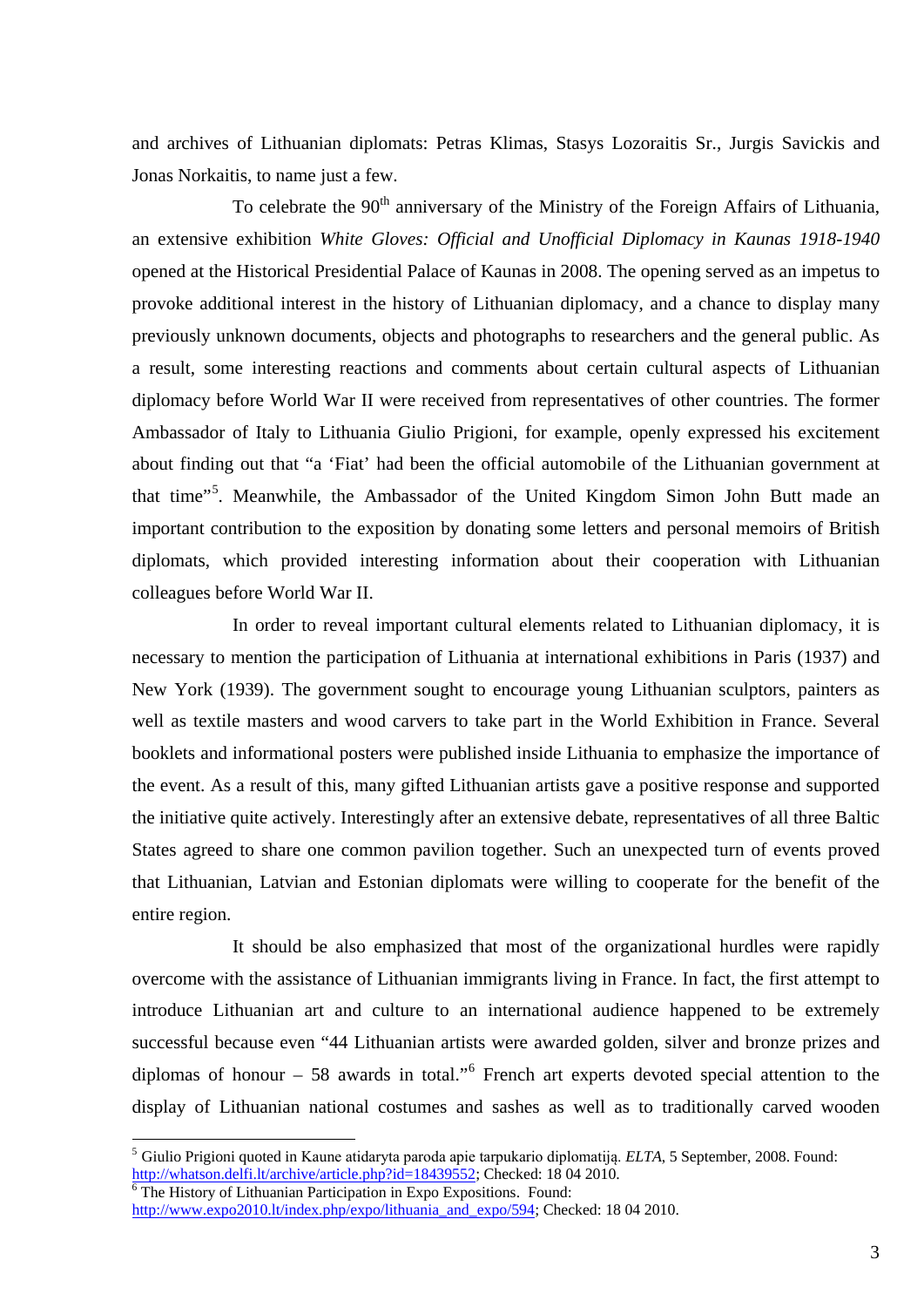and archives of Lithuanian diplomats: Petras Klimas, Stasys Lozoraitis Sr., Jurgis Savickis and Jonas Norkaitis, to name just a few.

To celebrate the  $90<sup>th</sup>$  anniversary of the Ministry of the Foreign Affairs of Lithuania, an extensive exhibition *White Gloves: Official and Unofficial Diplomacy in Kaunas 1918-1940* opened at the Historical Presidential Palace of Kaunas in 2008. The opening served as an impetus to provoke additional interest in the history of Lithuanian diplomacy, and a chance to display many previously unknown documents, objects and photographs to researchers and the general public. As a result, some interesting reactions and comments about certain cultural aspects of Lithuanian diplomacy before World War II were received from representatives of other countries. The former Ambassador of Italy to Lithuania Giulio Prigioni, for example, openly expressed his excitement about finding out that "a 'Fiat' had been the official automobile of the Lithuanian government at that time"<sup>[5](#page-2-0)</sup>. Meanwhile, the Ambassador of the United Kingdom Simon John Butt made an important contribution to the exposition by donating some letters and personal memoirs of British diplomats, which provided interesting information about their cooperation with Lithuanian colleagues before World War II.

In order to reveal important cultural elements related to Lithuanian diplomacy, it is necessary to mention the participation of Lithuania at international exhibitions in Paris (1937) and New York (1939). The government sought to encourage young Lithuanian sculptors, painters as well as textile masters and wood carvers to take part in the World Exhibition in France. Several booklets and informational posters were published inside Lithuania to emphasize the importance of the event. As a result of this, many gifted Lithuanian artists gave a positive response and supported the initiative quite actively. Interestingly after an extensive debate, representatives of all three Baltic States agreed to share one common pavilion together. Such an unexpected turn of events proved that Lithuanian, Latvian and Estonian diplomats were willing to cooperate for the benefit of the entire region.

It should be also emphasized that most of the organizational hurdles were rapidly overcome with the assistance of Lithuanian immigrants living in France. In fact, the first attempt to introduce Lithuanian art and culture to an international audience happened to be extremely successful because even "44 Lithuanian artists were awarded golden, silver and bronze prizes and diplomas of honour  $-58$  awards in total."<sup>[6](#page-2-1)</sup> French art experts devoted special attention to the display of Lithuanian national costumes and sashes as well as to traditionally carved wooden

<span id="page-2-0"></span><sup>&</sup>lt;sup>5</sup> Giulio Prigioni quoted in Kaune atidaryta paroda apie tarpukario diplomatiją. *ELTA*, 5 September, 2008. Found: http://whatson.delfi.lt/archive/article.php?id=18439552; Checked: 18 04 2010.

<span id="page-2-1"></span> $\overline{6}$  The History of Lithuanian Participation in Expo Expositions. Found: [http://www.expo2010.lt/index.php/expo/lithuania\\_and\\_expo/594;](http://www.expo2010.lt/index.php/expo/lithuania_and_expo/594) Checked: 18 04 2010.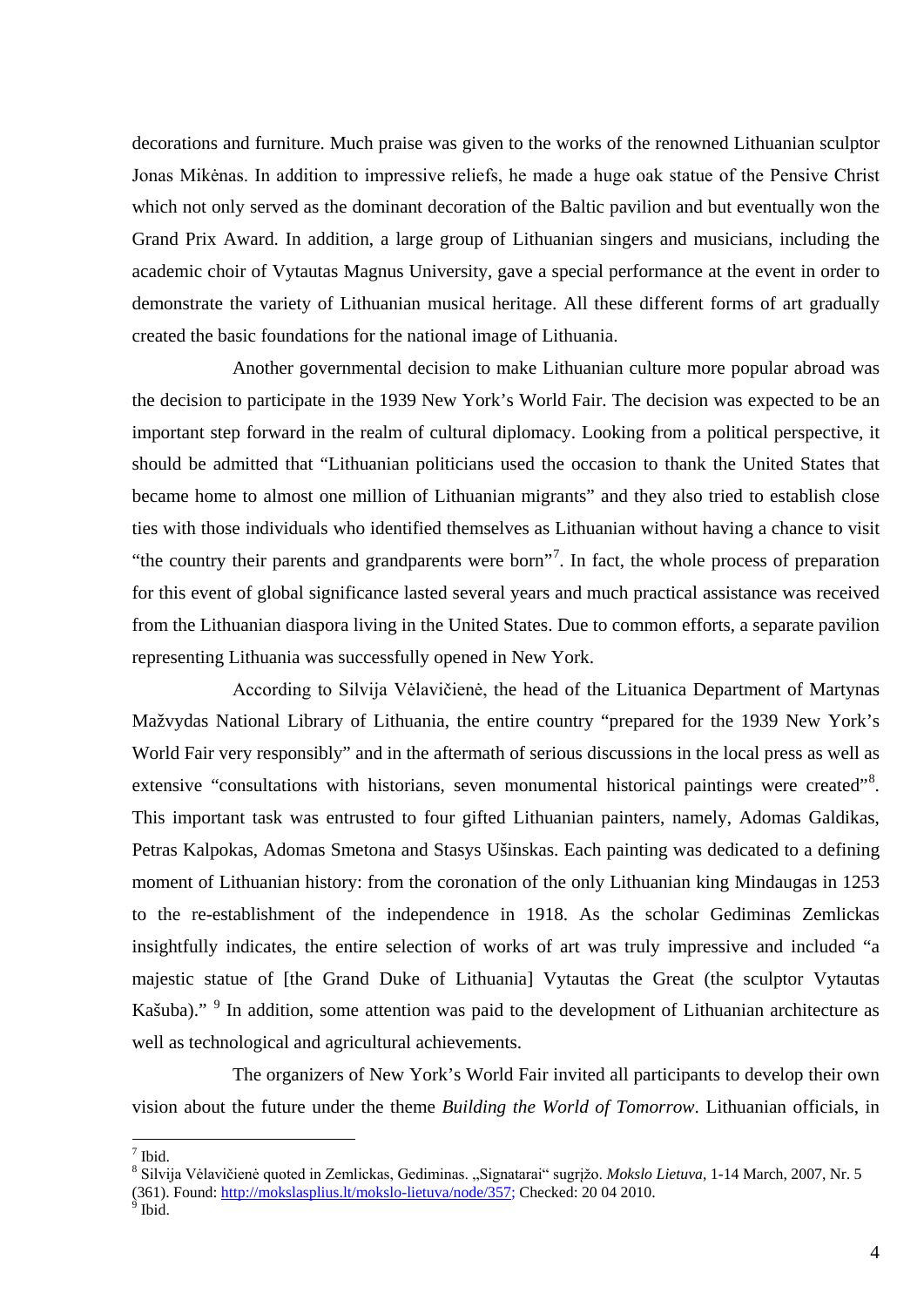decorations and furniture. Much praise was given to the works of the renowned Lithuanian sculptor Jonas Mikėnas. In addition to impressive reliefs, he made a huge oak statue of the Pensive Christ which not only served as the dominant decoration of the Baltic pavilion and but eventually won the Grand Prix Award. In addition, a large group of Lithuanian singers and musicians, including the academic choir of Vytautas Magnus University, gave a special performance at the event in order to demonstrate the variety of Lithuanian musical heritage. All these different forms of art gradually created the basic foundations for the national image of Lithuania.

Another governmental decision to make Lithuanian culture more popular abroad was the decision to participate in the 1939 New York's World Fair. The decision was expected to be an important step forward in the realm of cultural diplomacy. Looking from a political perspective, it should be admitted that "Lithuanian politicians used the occasion to thank the United States that became home to almost one million of Lithuanian migrants" and they also tried to establish close ties with those individuals who identified themselves as Lithuanian without having a chance to visit "the country their parents and grandparents were born"<sup>[7](#page-3-0)</sup>. In fact, the whole process of preparation for this event of global significance lasted several years and much practical assistance was received from the Lithuanian diaspora living in the United States. Due to common efforts, a separate pavilion representing Lithuania was successfully opened in New York.

According to Silvija Vėlavičienė, the head of the Lituanica Department of Martynas Mažvydas National Library of Lithuania, the entire country "prepared for the 1939 New York's World Fair very responsibly" and in the aftermath of serious discussions in the local press as well as extensive "consultations with historians, seven monumental historical paintings were created"<sup>[8](#page-3-1)</sup>. This important task was entrusted to four gifted Lithuanian painters, namely, Adomas Galdikas, Petras Kalpokas, Adomas Smetona and Stasys Ušinskas. Each painting was dedicated to a defining moment of Lithuanian history: from the coronation of the only Lithuanian king Mindaugas in 1253 to the re-establishment of the independence in 1918. As the scholar Gediminas Zemlickas insightfully indicates, the entire selection of works of art was truly impressive and included "a majestic statue of [the Grand Duke of Lithuania] Vytautas the Great (the sculptor Vytautas Kašuba)." <sup>[9](#page-3-2)</sup> In addition, some attention was paid to the development of Lithuanian architecture as well as technological and agricultural achievements.

The organizers of New York's World Fair invited all participants to develop their own vision about the future under the theme *Building the World of Tomorrow*. Lithuanian officials, in

<span id="page-3-0"></span> <sup>7</sup> Ibid.

<span id="page-3-1"></span><sup>&</sup>lt;sup>8</sup> Silvija Vėlavičienė quoted in Zemlickas, Gediminas. "Signatarai" sugrįžo. Mokslo Lietuva, 1-14 March, 2007, Nr. 5

<sup>(361).</sup> Found: [http://mokslasplius.lt/mokslo-lietuva/node/357;](http://mokslasplius.lt/mokslo-lietuva/node/357) Checked: 20 04 2010.

<span id="page-3-2"></span>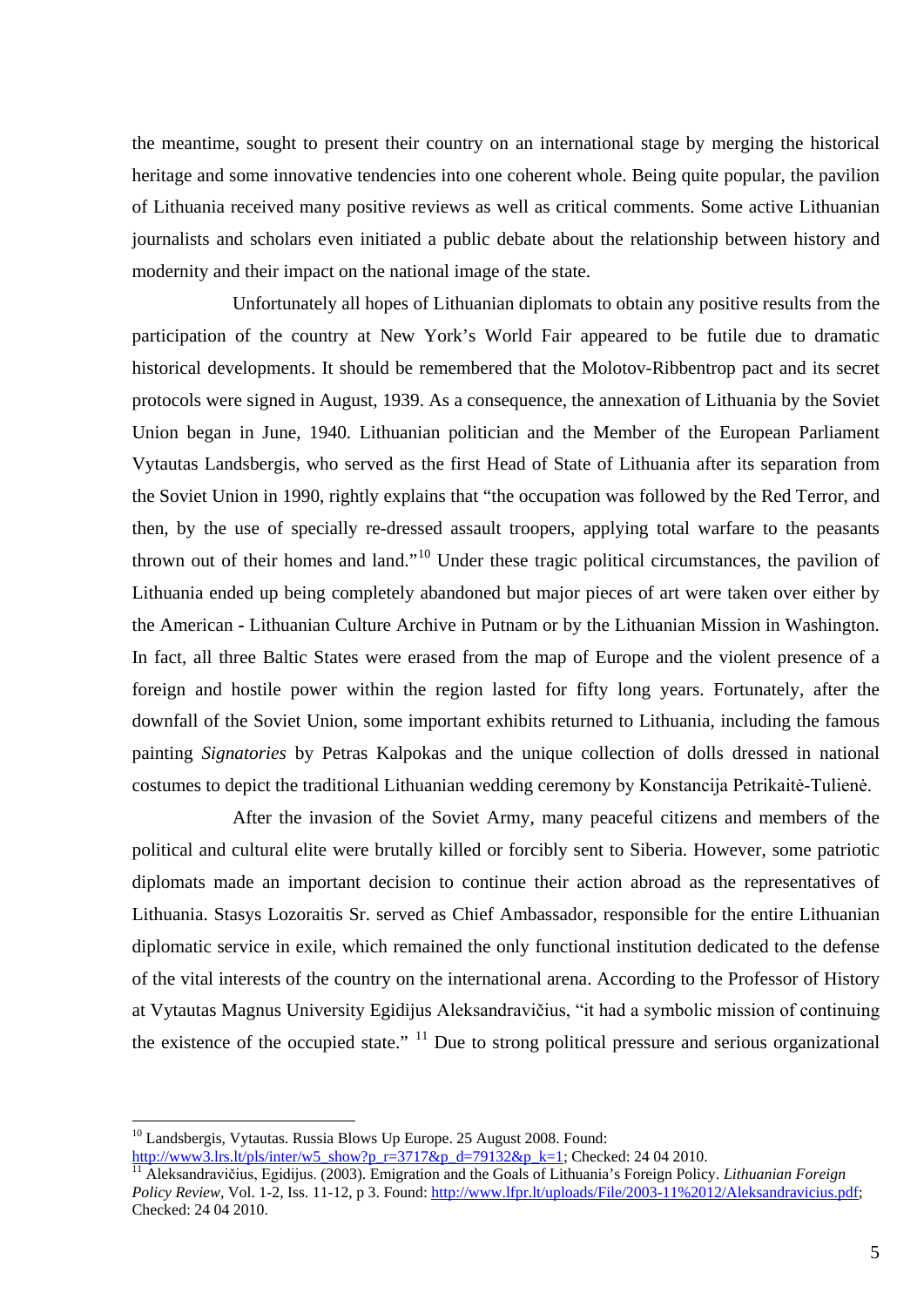the meantime, sought to present their country on an international stage by merging the historical heritage and some innovative tendencies into one coherent whole. Being quite popular, the pavilion of Lithuania received many positive reviews as well as critical comments. Some active Lithuanian journalists and scholars even initiated a public debate about the relationship between history and modernity and their impact on the national image of the state.

Unfortunately all hopes of Lithuanian diplomats to obtain any positive results from the participation of the country at New York's World Fair appeared to be futile due to dramatic historical developments. It should be remembered that the Molotov-Ribbentrop pact and its secret protocols were signed in August, 1939. As a consequence, the annexation of Lithuania by the Soviet Union began in June, 1940. Lithuanian politician and the Member of the European Parliament Vytautas Landsbergis, who served as the first Head of State of Lithuania after its separation from the Soviet Union in 1990, rightly explains that "the occupation was followed by the Red Terror, and then, by the use of specially re-dressed assault troopers, applying total warfare to the peasants thrown out of their homes and land."<sup>[10](#page-4-0)</sup> Under these tragic political circumstances, the pavilion of Lithuania ended up being completely abandoned but major pieces of art were taken over either by the American **-** Lithuanian Culture Archive in Putnam or by the Lithuanian Mission in Washington. In fact, all three Baltic States were erased from the map of Europe and the violent presence of a foreign and hostile power within the region lasted for fifty long years. Fortunately, after the downfall of the Soviet Union, some important exhibits returned to Lithuania, including the famous painting *Signatories* by Petras Kalpokas and the unique collection of dolls dressed in national costumes to depict the traditional Lithuanian wedding ceremony by Konstancija Petrikaitė-Tulienė.

After the invasion of the Soviet Army, many peaceful citizens and members of the political and cultural elite were brutally killed or forcibly sent to Siberia. However, some patriotic diplomats made an important decision to continue their action abroad as the representatives of Lithuania. Stasys Lozoraitis Sr. served as Chief Ambassador, responsible for the entire Lithuanian diplomatic service in exile, which remained the only functional institution dedicated to the defense of the vital interests of the country on the international arena. According to the Professor of History at Vytautas Magnus University Egidijus Aleksandravičius, "it had a symbolic mission of continuing the existence of the occupied state."  $\frac{11}{11}$  $\frac{11}{11}$  $\frac{11}{11}$  Due to strong political pressure and serious organizational

<span id="page-4-0"></span><sup>&</sup>lt;sup>10</sup> Landsbergis, Vytautas. Russia Blows Up Europe. 25 August 2008. Found:<br>http://www3.lrs.lt/pls/inter/w5\_show?p\_r=3717&p\_d=79132&p\_k=1; Checked: 24 04 2010.

<span id="page-4-1"></span><sup>&</sup>lt;sup>11</sup> Aleksandravičius, Egidijus. (2003). Emigration and the Goals of Lithuania's Foreign Policy. *Lithuanian Foreign Policy Review*, Vol. 1-2, Iss. 11-12, p 3. Found: [http://www.lfpr.lt/uploads/File/2003-11%2012/Aleksandravicius.pdf;](http://www.lfpr.lt/uploads/File/2003-11%2012/Aleksandravicius.pdf) Checked: 24 04 2010.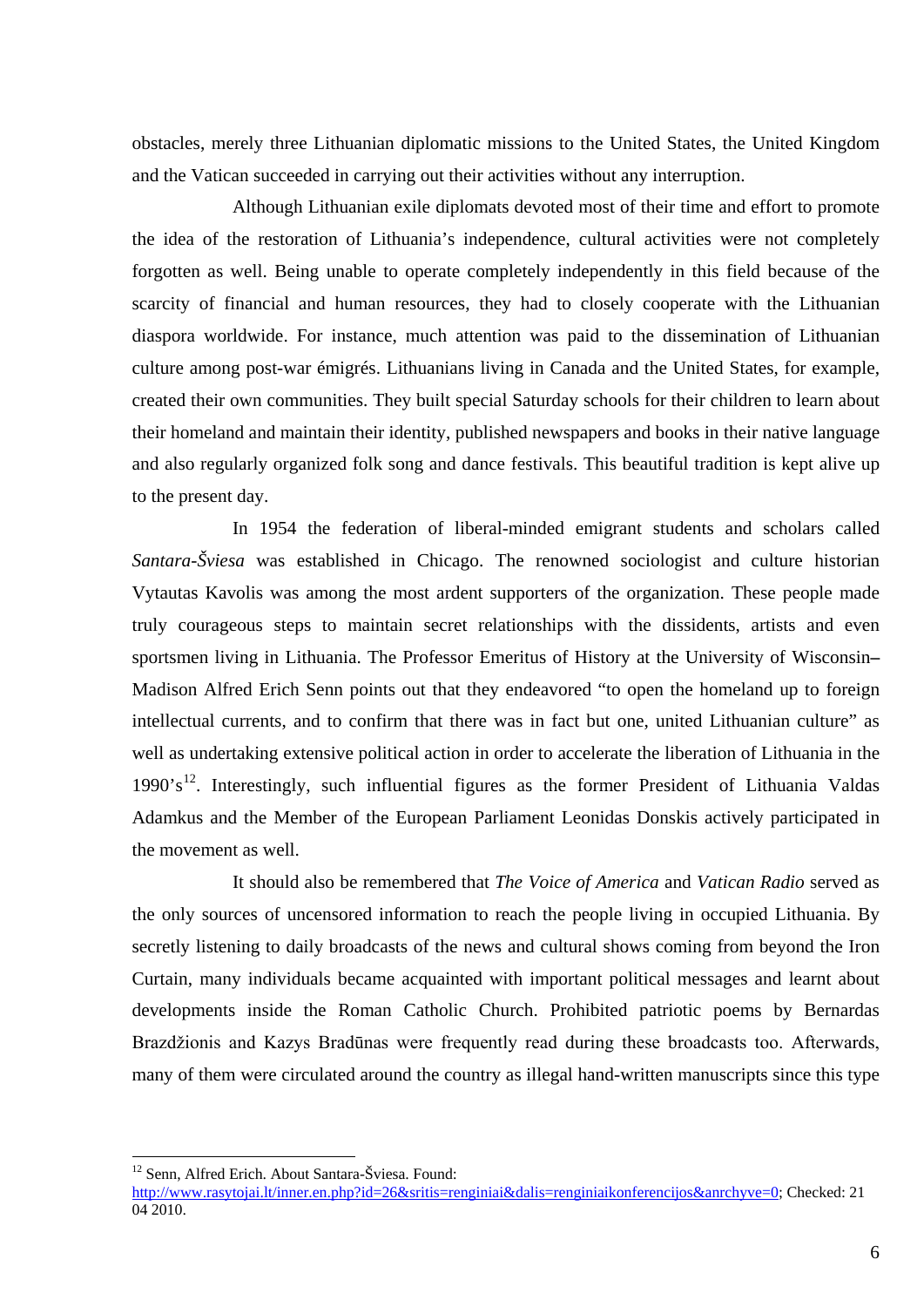obstacles, merely three Lithuanian diplomatic missions to the United States, the United Kingdom and the Vatican succeeded in carrying out their activities without any interruption.

Although Lithuanian exile diplomats devoted most of their time and effort to promote the idea of the restoration of Lithuania's independence, cultural activities were not completely forgotten as well. Being unable to operate completely independently in this field because of the scarcity of financial and human resources, they had to closely cooperate with the Lithuanian diaspora worldwide. For instance, much attention was paid to the dissemination of Lithuanian culture among post-war émigrés. Lithuanians living in Canada and the United States, for example, created their own communities. They built special Saturday schools for their children to learn about their homeland and maintain their identity, published newspapers and books in their native language and also regularly organized folk song and dance festivals. This beautiful tradition is kept alive up to the present day.

In 1954 the federation of liberal-minded emigrant students and scholars called *Santara-Šviesa* was established in Chicago. The renowned sociologist and culture historian Vytautas Kavolis was among the most ardent supporters of the organization. These people made truly courageous steps to maintain secret relationships with the dissidents, artists and even sportsmen living in Lithuania. The Professor Emeritus of History at the University of Wisconsin**–** Madison Alfred Erich Senn points out that they endeavored "to open the homeland up to foreign intellectual currents, and to confirm that there was in fact but one, united Lithuanian culture" as well as undertaking extensive political action in order to accelerate the liberation of Lithuania in the 1990's<sup>[12](#page-5-0)</sup>. Interestingly, such influential figures as the former President of Lithuania Valdas Adamkus and the Member of the European Parliament Leonidas Donskis actively participated in the movement as well.

It should also be remembered that *The Voice of America* and *Vatican Radio* served as the only sources of uncensored information to reach the people living in occupied Lithuania. By secretly listening to daily broadcasts of the news and cultural shows coming from beyond the Iron Curtain, many individuals became acquainted with important political messages and learnt about developments inside the Roman Catholic Church. Prohibited patriotic poems by Bernardas Brazdžionis and Kazys Bradūnas were frequently read during these broadcasts too. Afterwards, many of them were circulated around the country as illegal hand-written manuscripts since this type

<sup>&</sup>lt;sup>12</sup> Senn, Alfred Erich. About Santara-Šviesa. Found:

<span id="page-5-0"></span>[http://www.rasytojai.lt/inner.en.php?id=26&sritis=renginiai&dalis=renginiaikonferencijos&anrchyve=0;](http://www.rasytojai.lt/inner.en.php?id=26&sritis=renginiai&dalis=renginiaikonferencijos&anrchyve=0) Checked: 21 04 2010.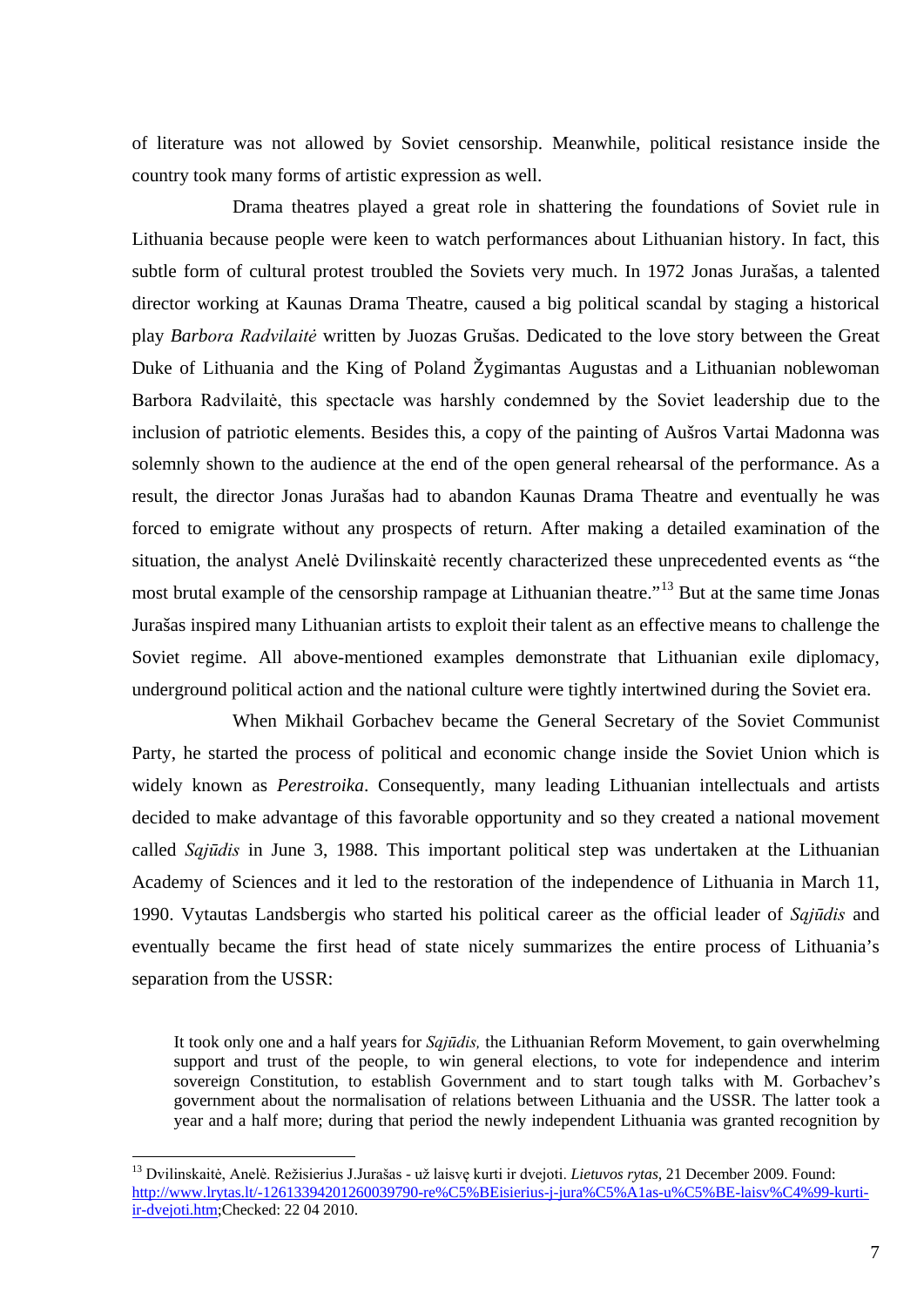of literature was not allowed by Soviet censorship. Meanwhile, political resistance inside the country took many forms of artistic expression as well.

Drama theatres played a great role in shattering the foundations of Soviet rule in Lithuania because people were keen to watch performances about Lithuanian history. In fact, this subtle form of cultural protest troubled the Soviets very much. In 1972 Jonas Jurašas, a talented director working at Kaunas Drama Theatre, caused a big political scandal by staging a historical play *Barbora Radvilaitė* written by Juozas Grušas. Dedicated to the love story between the Great Duke of Lithuania and the King of Poland Žygimantas Augustas and a Lithuanian noblewoman Barbora Radvilaitė, this spectacle was harshly condemned by the Soviet leadership due to the inclusion of patriotic elements. Besides this, a copy of the painting of Aušros Vartai Madonna was solemnly shown to the audience at the end of the open general rehearsal of the performance. As a result, the director Jonas Jurašas had to abandon Kaunas Drama Theatre and eventually he was forced to emigrate without any prospects of return. After making a detailed examination of the situation, the analyst Anelė Dvilinskaitė recently characterized these unprecedented events as "the most brutal example of the censorship rampage at Lithuanian theatre."<sup>[13](#page-6-0)</sup> But at the same time Jonas Jurašas inspired many Lithuanian artists to exploit their talent as an effective means to challenge the Soviet regime. All above-mentioned examples demonstrate that Lithuanian exile diplomacy, underground political action and the national culture were tightly intertwined during the Soviet era.

When Mikhail Gorbachev became the General Secretary of the Soviet Communist Party, he started the process of political and economic change inside the Soviet Union which is widely known as *Perestroika*. Consequently, many leading Lithuanian intellectuals and artists decided to make advantage of this favorable opportunity and so they created a national movement called *Sąjūdis* in June 3, 1988. This important political step was undertaken at the Lithuanian Academy of Sciences and it led to the restoration of the independence of Lithuania in March 11, 1990. Vytautas Landsbergis who started his political career as the official leader of *Sąjūdis* and eventually became the first head of state nicely summarizes the entire process of Lithuania's separation from the USSR:

It took only one and a half years for *Sąjūdis,* the Lithuanian Reform Movement, to gain overwhelming support and trust of the people, to win general elections, to vote for independence and interim sovereign Constitution, to establish Government and to start tough talks with M. Gorbachev's government about the normalisation of relations between Lithuania and the USSR. The latter took a year and a half more; during that period the newly independent Lithuania was granted recognition by

<span id="page-6-0"></span> <sup>13</sup> Dvilinskaitė, Anelė. Režisierius J.Jurašas - už laisvę kurti ir dvejoti. *Lietuvos rytas,* 21 December 2009. Found: [http://www.lrytas.lt/-12613394201260039790-re%C5%BEisierius-j-jura%C5%A1as-u%C5%BE-laisv%C4%99-kurti](http://www.lrytas.lt/-12613394201260039790-re%C5%BEisierius-j-jura%C5%A1as-u%C5%BE-laisv%C4%99-kurti-ir-dvejoti.htm)[ir-dvejoti.htm;](http://www.lrytas.lt/-12613394201260039790-re%C5%BEisierius-j-jura%C5%A1as-u%C5%BE-laisv%C4%99-kurti-ir-dvejoti.htm)Checked: 22 04 2010.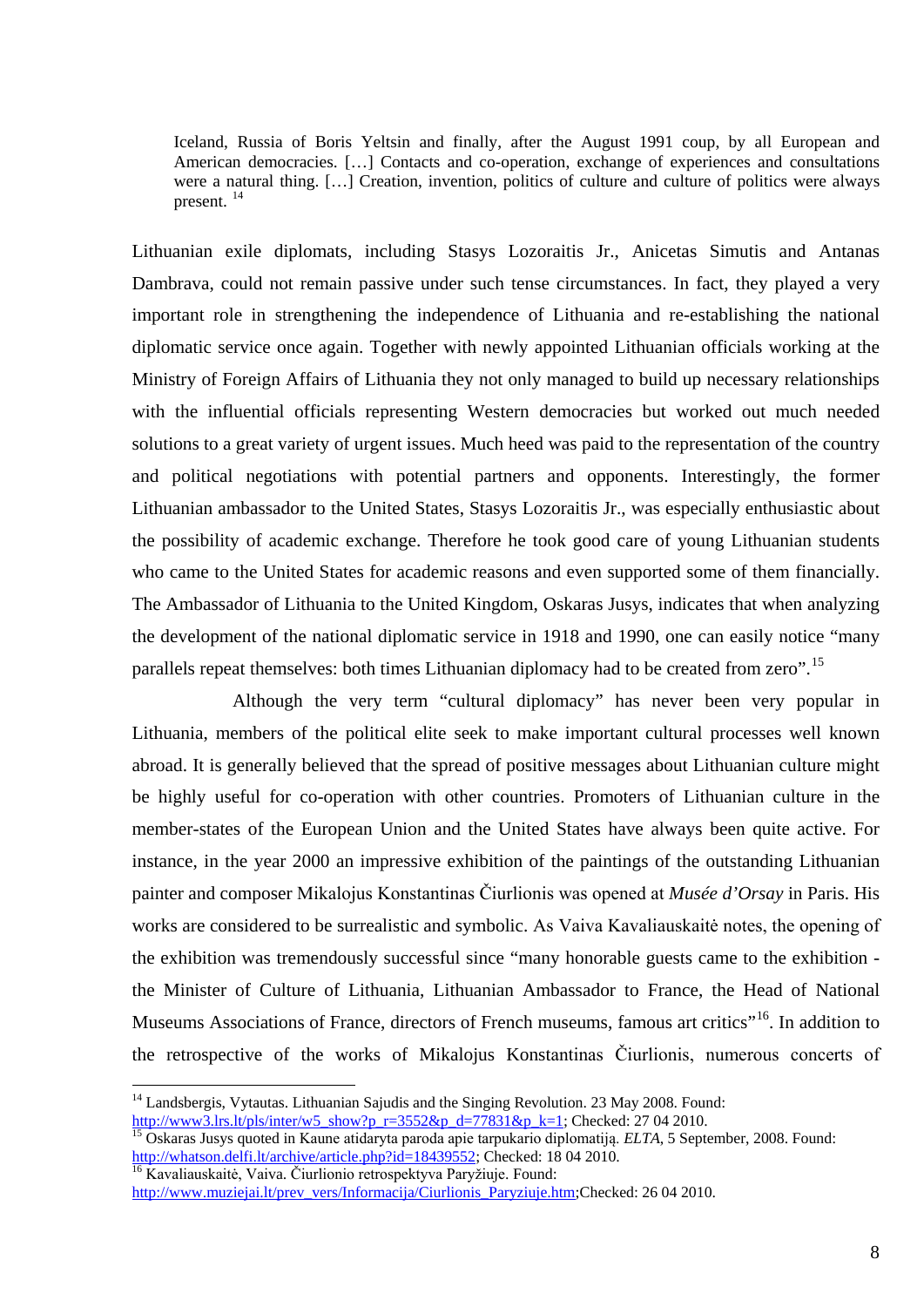Iceland, Russia of Boris Yeltsin and finally, after the August 1991 coup, by all European and American democracies. […] Contacts and co-operation, exchange of experiences and consultations were a natural thing. […] Creation, invention, politics of culture and culture of politics were always present. [14](#page-7-0)

Lithuanian exile diplomats, including Stasys Lozoraitis Jr., Anicetas Simutis and Antanas Dambrava, could not remain passive under such tense circumstances. In fact, they played a very important role in strengthening the independence of Lithuania and re-establishing the national diplomatic service once again. Together with newly appointed Lithuanian officials working at the Ministry of Foreign Affairs of Lithuania they not only managed to build up necessary relationships with the influential officials representing Western democracies but worked out much needed solutions to a great variety of urgent issues. Much heed was paid to the representation of the country and political negotiations with potential partners and opponents. Interestingly, the former Lithuanian ambassador to the United States, Stasys Lozoraitis Jr., was especially enthusiastic about the possibility of academic exchange. Therefore he took good care of young Lithuanian students who came to the United States for academic reasons and even supported some of them financially. The Ambassador of Lithuania to the United Kingdom, Oskaras Jusys, indicates that when analyzing the development of the national diplomatic service in 1918 and 1990, one can easily notice "many parallels repeat themselves: both times Lithuanian diplomacy had to be created from zero".<sup>[15](#page-7-1)</sup>

Although the very term "cultural diplomacy" has never been very popular in Lithuania, members of the political elite seek to make important cultural processes well known abroad. It is generally believed that the spread of positive messages about Lithuanian culture might be highly useful for co-operation with other countries. Promoters of Lithuanian culture in the member-states of the European Union and the United States have always been quite active. For instance, in the year 2000 an impressive exhibition of the paintings of the outstanding Lithuanian painter and composer Mikalojus Konstantinas Čiurlionis was opened at *Musée d'Orsay* in Paris. His works are considered to be surrealistic and symbolic. As Vaiva Kavaliauskaitė notes, the opening of the exhibition was tremendously successful since "many honorable guests came to the exhibition the Minister of Culture of Lithuania, Lithuanian Ambassador to France, the Head of National Museums Associations of France, directors of French museums, famous art critics"<sup>[16](#page-7-2)</sup>. In addition to the retrospective of the works of Mikalojus Konstantinas Čiurlionis, numerous concerts of

<span id="page-7-0"></span> $14$  Landsbergis, Vytautas. Lithuanian Sajudis and the Singing Revolution. 23 May 2008. Found:

<span id="page-7-1"></span>[http://www3.lrs.lt/pls/inter/w5\\_show?p\\_r=3552&p\\_d=77831&p\\_k=1;](http://www3.lrs.lt/pls/inter/w5_show?p_r=3552&p_d=77831&p_k=1) Checked: 27 04 2010.<br><sup>15</sup> Oskaras Jusys quoted in Kaune atidaryta paroda apie tarpukario diplomatiją. *ELTA*, 5 September, 2008. Found:<br>http://whatson.delfi.lt

<span id="page-7-2"></span><sup>&</sup>lt;sup>16</sup> Kavaliauskaitė, Vaiva. Čiurlionio retrospektyva Paryžiuje. Found:

[http://www.muziejai.lt/prev\\_vers/Informacija/Ciurlionis\\_Paryziuje.htm;](http://www.muziejai.lt/prev_vers/Informacija/Ciurlionis_Paryziuje.htm)Checked: 26 04 2010.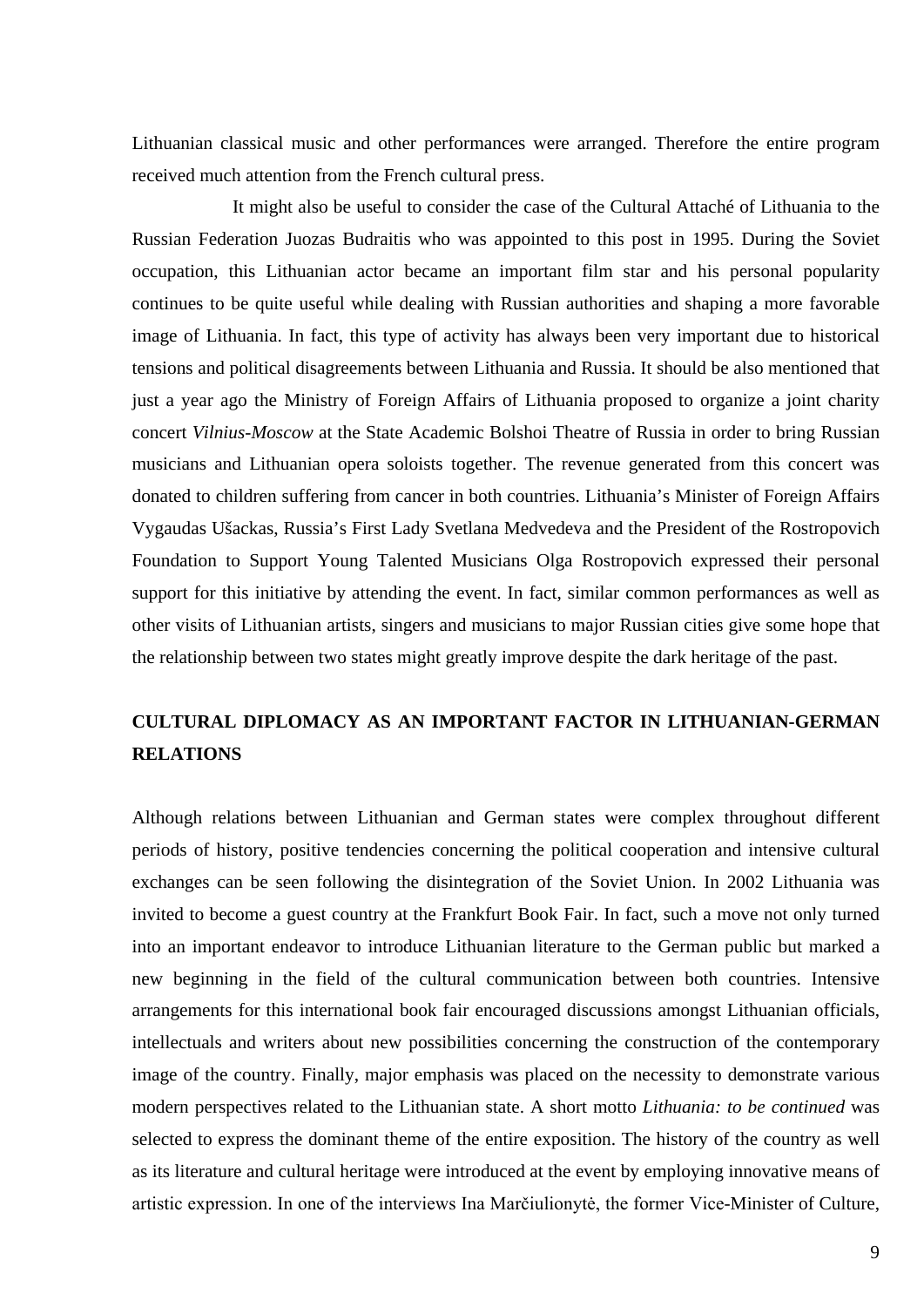Lithuanian classical music and other performances were arranged. Therefore the entire program received much attention from the French cultural press.

It might also be useful to consider the case of the Cultural Attaché of Lithuania to the Russian Federation Juozas Budraitis who was appointed to this post in 1995. During the Soviet occupation, this Lithuanian actor became an important film star and his personal popularity continues to be quite useful while dealing with Russian authorities and shaping a more favorable image of Lithuania. In fact, this type of activity has always been very important due to historical tensions and political disagreements between Lithuania and Russia. It should be also mentioned that just a year ago the Ministry of Foreign Affairs of Lithuania proposed to organize a joint charity concert *Vilnius-Moscow* at the State Academic Bolshoi Theatre of Russia in order to bring Russian musicians and Lithuanian opera soloists together. The revenue generated from this concert was donated to children suffering from cancer in both countries. Lithuania's Minister of Foreign Affairs Vygaudas Ušackas, Russia's First Lady Svetlana Medvedeva and the President of the Rostropovich Foundation to Support Young Talented Musicians Olga Rostropovich expressed their personal support for this initiative by attending the event. In fact, similar common performances as well as other visits of Lithuanian artists, singers and musicians to major Russian cities give some hope that the relationship between two states might greatly improve despite the dark heritage of the past.

## **CULTURAL DIPLOMACY AS AN IMPORTANT FACTOR IN LITHUANIAN-GERMAN RELATIONS**

Although relations between Lithuanian and German states were complex throughout different periods of history, positive tendencies concerning the political cooperation and intensive cultural exchanges can be seen following the disintegration of the Soviet Union. In 2002 Lithuania was invited to become a guest country at the Frankfurt Book Fair. In fact, such a move not only turned into an important endeavor to introduce Lithuanian literature to the German public but marked a new beginning in the field of the cultural communication between both countries. Intensive arrangements for this international book fair encouraged discussions amongst Lithuanian officials, intellectuals and writers about new possibilities concerning the construction of the contemporary image of the country. Finally, major emphasis was placed on the necessity to demonstrate various modern perspectives related to the Lithuanian state. A short motto *Lithuania: to be continued* was selected to express the dominant theme of the entire exposition. The history of the country as well as its literature and cultural heritage were introduced at the event by employing innovative means of artistic expression. In one of the interviews Ina Marčiulionytė, the former Vice-Minister of Culture,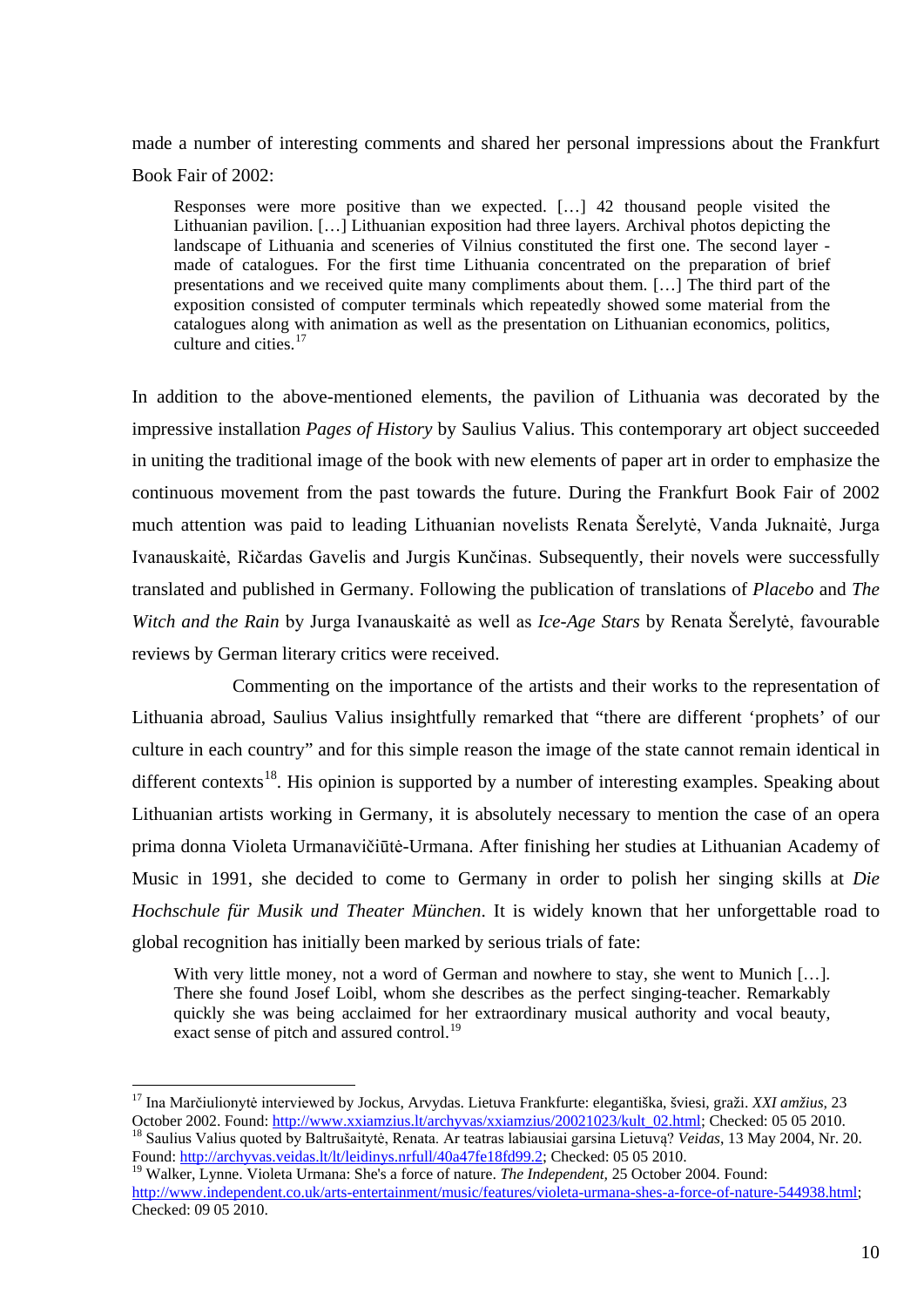made a number of interesting comments and shared her personal impressions about the Frankfurt Book Fair of 2002:

Responses were more positive than we expected. […] 42 thousand people visited the Lithuanian pavilion. […] Lithuanian exposition had three layers. Archival photos depicting the landscape of Lithuania and sceneries of Vilnius constituted the first one. The second layer made of catalogues. For the first time Lithuania concentrated on the preparation of brief presentations and we received quite many compliments about them. […] The third part of the exposition consisted of computer terminals which repeatedly showed some material from the catalogues along with animation as well as the presentation on Lithuanian economics, politics, culture and cities.<sup>[17](#page-9-0)</sup>

In addition to the above-mentioned elements, the pavilion of Lithuania was decorated by the impressive installation *Pages of History* by Saulius Valius. This contemporary art object succeeded in uniting the traditional image of the book with new elements of paper art in order to emphasize the continuous movement from the past towards the future. During the Frankfurt Book Fair of 2002 much attention was paid to leading Lithuanian novelists Renata Šerelytė, Vanda Juknaitė, Jurga Ivanauskaitė, Ričardas Gavelis and Jurgis Kunčinas. Subsequently, their novels were successfully translated and published in Germany. Following the publication of translations of *Placebo* and *The Witch and the Rain* by Jurga Ivanauskaitė as well as *Ice-Age Stars* by Renata Šerelytė, favourable reviews by German literary critics were received.

Commenting on the importance of the artists and their works to the representation of Lithuania abroad, Saulius Valius insightfully remarked that "there are different 'prophets' of our culture in each country" and for this simple reason the image of the state cannot remain identical in different contexts<sup>[18](#page-9-1)</sup>. His opinion is supported by a number of interesting examples. Speaking about Lithuanian artists working in Germany, it is absolutely necessary to mention the case of an opera prima donna Violeta Urmanavičiūtė-Urmana. After finishing her studies at Lithuanian Academy of Music in 1991, she decided to come to Germany in order to polish her singing skills at *Die Hochschule für Musik und Theater München*. It is widely known that her unforgettable road to global recognition has initially been marked by serious trials of fate:

With very little money, not a word of German and nowhere to stay, she went to Munich [...]. There she found Josef Loibl, whom she describes as the perfect singing-teacher. Remarkably quickly she was being acclaimed for her extraordinary musical authority and vocal beauty, exact sense of pitch and assured control.<sup>[19](#page-9-2)</sup>

<span id="page-9-0"></span><sup>&</sup>lt;sup>17</sup> Ina Marčiulionytė interviewed by Jockus, Arvydas. Lietuva Frankfurte: elegantiška, šviesi, graži. *XXI amžius,* 23<br>October 2002. Found: http://www.xxiamzius.lt/archyvas/xxiamzius/20021023/kult 02.html; Checked: 05 05 <sup>18</sup> Saulius Valius quoted by Baltrušaitytė, Renata. Ar teatras labiausiai garsina Lietuvą? Veidas, 13 May 2004, Nr. 20. Found: [http://archyvas.veidas.lt/lt/leidinys.nrfull/40a47fe18fd99.2;](http://archyvas.veidas.lt/lt/leidinys.nrfull/40a47fe18fd99.2) Checked: 05 05 2010.

<span id="page-9-2"></span><span id="page-9-1"></span><sup>19</sup> Walker, Lynne. Violeta Urmana: She's a force of nature. *The Independent,* 25 October 2004. Found: [http://www.independent.co.uk/arts-entertainment/music/features/violeta-urmana-shes-a-force-of-nature-544938.html;](http://www.xxiamzius.lt/archyvas/xxiamzius/20021023/kult_02.html) Checked: 09 05 2010.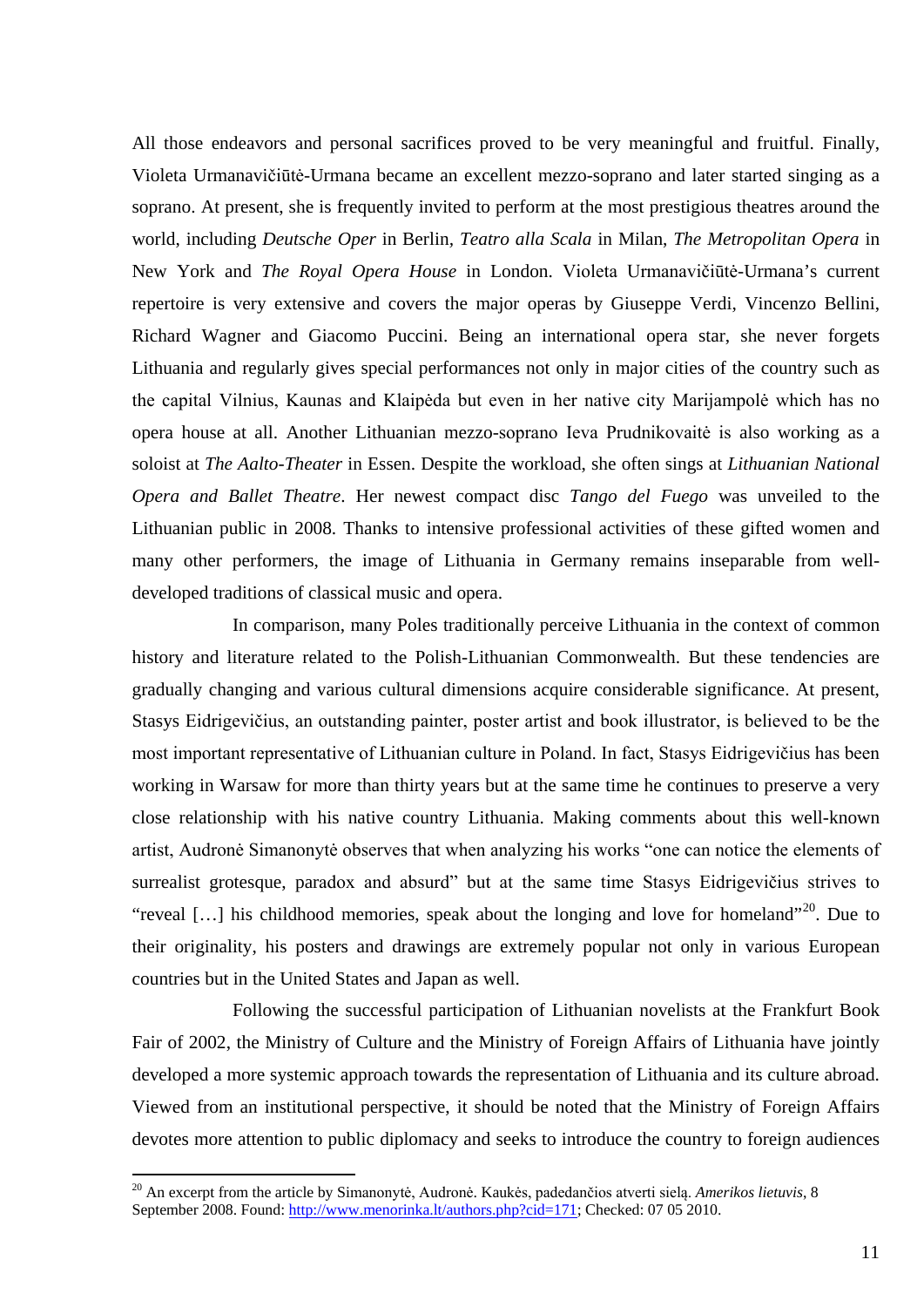All those endeavors and personal sacrifices proved to be very meaningful and fruitful. Finally, Violeta Urmanavičiūtė-Urmana became an excellent mezzo-soprano and later started singing as a soprano. At present, she is frequently invited to perform at the most prestigious theatres around the world, including *Deutsche Oper* in Berlin*, Teatro alla Scala* in Milan, *The Metropolitan Opera* in New York and *The Royal Opera House* in London. Violeta Urmanavičiūtė-Urmana's current repertoire is very extensive and covers the major operas by Giuseppe Verdi, Vincenzo Bellini, Richard Wagner and Giacomo Puccini. Being an international opera star, she never forgets Lithuania and regularly gives special performances not only in major cities of the country such as the capital Vilnius, Kaunas and Klaipėda but even in her native city Marijampolė which has no opera house at all. Another Lithuanian mezzo-soprano Ieva Prudnikovaitė is also working as a soloist at *The Aalto-Theater* in Essen. Despite the workload, she often sings at *Lithuanian National Opera and Ballet Theatre*. Her newest compact disc *Tango del Fuego* was unveiled to the Lithuanian public in 2008. Thanks to intensive professional activities of these gifted women and many other performers, the image of Lithuania in Germany remains inseparable from welldeveloped traditions of classical music and opera.

In comparison, many Poles traditionally perceive Lithuania in the context of common history and literature related to the Polish-Lithuanian Commonwealth. But these tendencies are gradually changing and various cultural dimensions acquire considerable significance. At present, Stasys Eidrigevičius, an outstanding painter, poster artist and book illustrator, is believed to be the most important representative of Lithuanian culture in Poland. In fact, Stasys Eidrigevičius has been working in Warsaw for more than thirty years but at the same time he continues to preserve a very close relationship with his native country Lithuania. Making comments about this well-known artist, Audronė Simanonytė observes that when analyzing his works "one can notice the elements of surrealist grotesque, paradox and absurd" but at the same time Stasys Eidrigevičius strives to "reveal [...] his childhood memories, speak about the longing and love for homeland"<sup>[20](#page-10-0)</sup>. Due to their originality, his posters and drawings are extremely popular not only in various European countries but in the United States and Japan as well.

Following the successful participation of Lithuanian novelists at the Frankfurt Book Fair of 2002, the Ministry of Culture and the Ministry of Foreign Affairs of Lithuania have jointly developed a more systemic approach towards the representation of Lithuania and its culture abroad. Viewed from an institutional perspective, it should be noted that the Ministry of Foreign Affairs devotes more attention to public diplomacy and seeks to introduce the country to foreign audiences

<span id="page-10-0"></span> <sup>20</sup> An excerpt from the article by Simanonytė, Audronė. Kaukės, padedančios atverti sielą. *Amerikos lietuvis*, 8 September 2008. Found: [http://www.menorinka.lt/authors.php?cid=171;](http://www.menorinka.lt/authors.php?cid=171) Checked: 07 05 2010.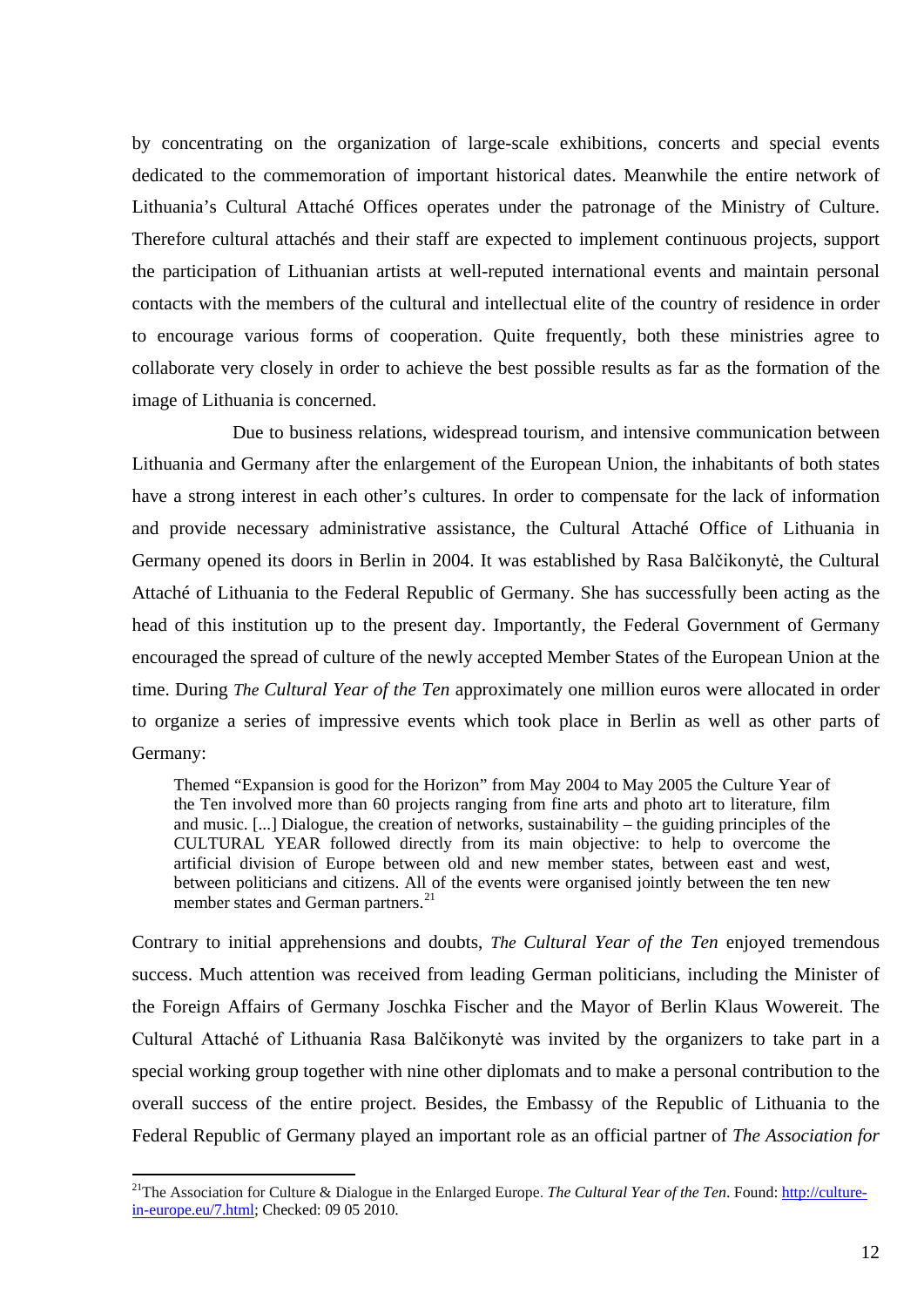by concentrating on the organization of large-scale exhibitions, concerts and special events dedicated to the commemoration of important historical dates. Meanwhile the entire network of Lithuania's Cultural Attaché Offices operates under the patronage of the Ministry of Culture. Therefore cultural attachés and their staff are expected to implement continuous projects, support the participation of Lithuanian artists at well-reputed international events and maintain personal contacts with the members of the cultural and intellectual elite of the country of residence in order to encourage various forms of cooperation. Quite frequently, both these ministries agree to collaborate very closely in order to achieve the best possible results as far as the formation of the image of Lithuania is concerned.

Due to business relations, widespread tourism, and intensive communication between Lithuania and Germany after the enlargement of the European Union, the inhabitants of both states have a strong interest in each other's cultures. In order to compensate for the lack of information and provide necessary administrative assistance, the Cultural Attaché Office of Lithuania in Germany opened its doors in Berlin in 2004. It was established by Rasa Balčikonytė, the Cultural Attaché of Lithuania to the Federal Republic of Germany. She has successfully been acting as the head of this institution up to the present day. Importantly, the Federal Government of Germany encouraged the spread of culture of the newly accepted Member States of the European Union at the time. During *The Cultural Year of the Ten* approximately one million euros were allocated in order to organize a series of impressive events which took place in Berlin as well as other parts of Germany:

Themed "Expansion is good for the Horizon" from May 2004 to May 2005 the Culture Year of the Ten involved more than 60 projects ranging from fine arts and photo art to literature, film and music. [...] Dialogue, the creation of networks, sustainability – the guiding principles of the CULTURAL YEAR followed directly from its main objective: to help to overcome the artificial division of Europe between old and new member states, between east and west, between politicians and citizens. All of the events were organised jointly between the ten new member states and German partners.<sup>[21](#page-11-0)</sup>

Contrary to initial apprehensions and doubts, *The Cultural Year of the Ten* enjoyed tremendous success. Much attention was received from leading German politicians, including the Minister of the Foreign Affairs of Germany Joschka Fischer and the Mayor of Berlin Klaus Wowereit. The Cultural Attaché of Lithuania Rasa Balčikonytė was invited by the organizers to take part in a special working group together with nine other diplomats and to make a personal contribution to the overall success of the entire project. Besides, the Embassy of the Republic of Lithuania to the Federal Republic of Germany played an important role as an official partner of *The Association for* 

<span id="page-11-0"></span><sup>&</sup>lt;sup>21</sup>The Association for Culture & Dialogue in the Enlarged Europe. *The Cultural Year of the Ten*. Found: [http://culture](http://culture-in-europe.eu/7.html)[in-europe.eu/7.html;](http://culture-in-europe.eu/7.html) Checked: 09 05 2010.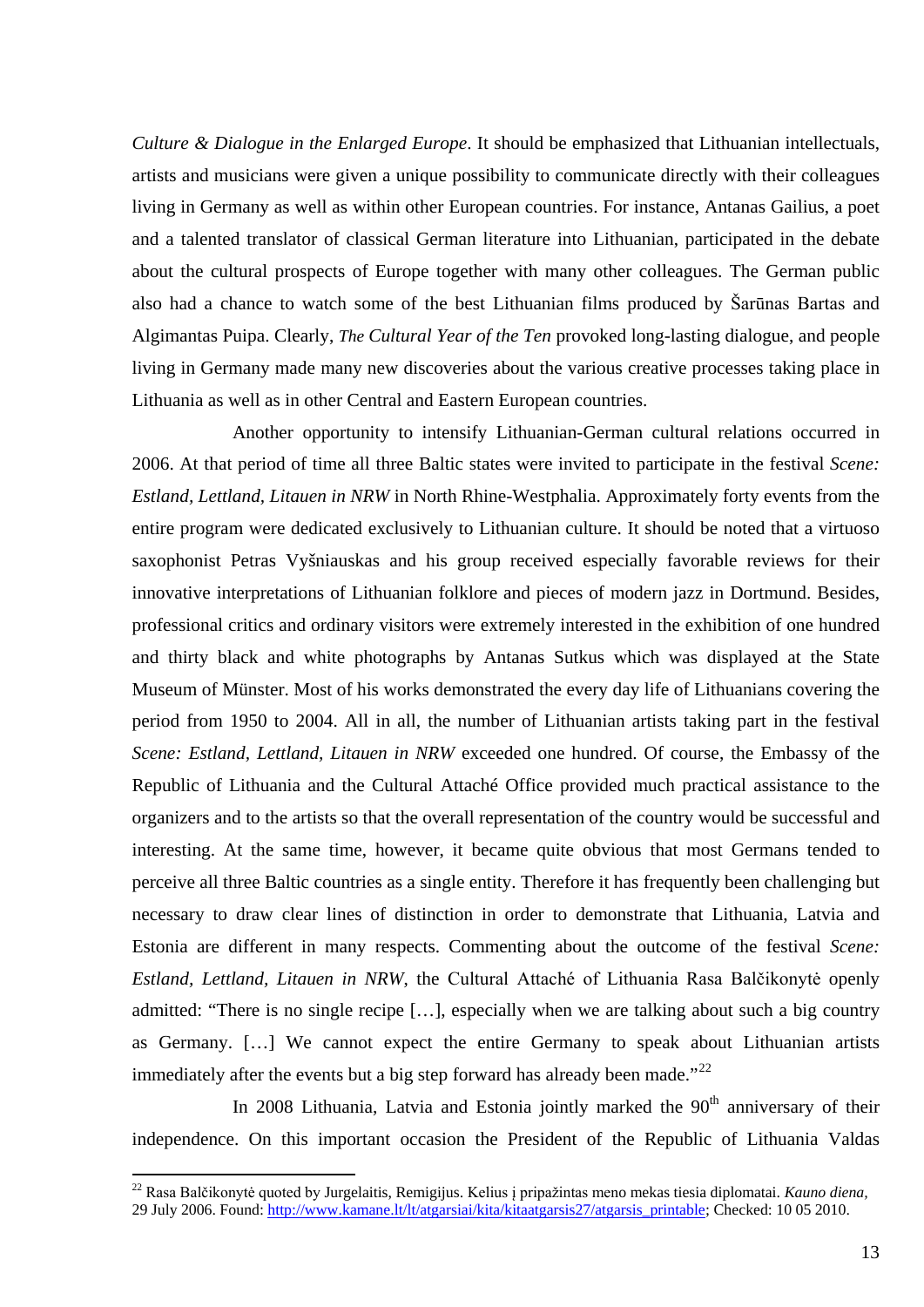*Culture & Dialogue in the Enlarged Europe*. It should be emphasized that Lithuanian intellectuals, artists and musicians were given a unique possibility to communicate directly with their colleagues living in Germany as well as within other European countries. For instance, Antanas Gailius, a poet and a talented translator of classical German literature into Lithuanian, participated in the debate about the cultural prospects of Europe together with many other colleagues. The German public also had a chance to watch some of the best Lithuanian films produced by Šarūnas Bartas and Algimantas Puipa. Clearly, *The Cultural Year of the Ten* provoked long-lasting dialogue, and people living in Germany made many new discoveries about the various creative processes taking place in Lithuania as well as in other Central and Eastern European countries.

Another opportunity to intensify Lithuanian-German cultural relations occurred in 2006. At that period of time all three Baltic states were invited to participate in the festival *Scene: Estland, Lettland, Litauen in NRW* in North Rhine-Westphalia. Approximately forty events from the entire program were dedicated exclusively to Lithuanian culture. It should be noted that a virtuoso saxophonist Petras Vyšniauskas and his group received especially favorable reviews for their innovative interpretations of Lithuanian folklore and pieces of modern jazz in Dortmund. Besides, professional critics and ordinary visitors were extremely interested in the exhibition of one hundred and thirty black and white photographs by Antanas Sutkus which was displayed at the State Museum of Münster. Most of his works demonstrated the every day life of Lithuanians covering the period from 1950 to 2004. All in all, the number of Lithuanian artists taking part in the festival *Scene: Estland, Lettland, Litauen in NRW* exceeded one hundred. Of course, the Embassy of the Republic of Lithuania and the Cultural Attaché Office provided much practical assistance to the organizers and to the artists so that the overall representation of the country would be successful and interesting. At the same time, however, it became quite obvious that most Germans tended to perceive all three Baltic countries as a single entity. Therefore it has frequently been challenging but necessary to draw clear lines of distinction in order to demonstrate that Lithuania, Latvia and Estonia are different in many respects. Commenting about the outcome of the festival *Scene: Estland, Lettland, Litauen in NRW*, the Cultural Attaché of Lithuania Rasa Balčikonytė openly admitted: "There is no single recipe […], especially when we are talking about such a big country as Germany. […] We cannot expect the entire Germany to speak about Lithuanian artists immediately after the events but a big step forward has already been made."<sup>[22](#page-12-0)</sup>

In 2008 Lithuania, Latvia and Estonia jointly marked the 90<sup>th</sup> anniversary of their independence. On this important occasion the President of the Republic of Lithuania Valdas

<span id="page-12-0"></span> <sup>22</sup> Rasa Balčikonytė quoted by Jurgelaitis, Remigijus. Kelius į pripažintas meno mekas tiesia diplomatai. *Kauno diena,*  29 July 2006. Found[: http://www.kamane.lt/lt/atgarsiai/kita/kitaatgarsis27/atgarsis\\_printable;](http://www.kamane.lt/lt/atgarsiai/kita/kitaatgarsis27/atgarsis_printable) Checked: 10 05 2010.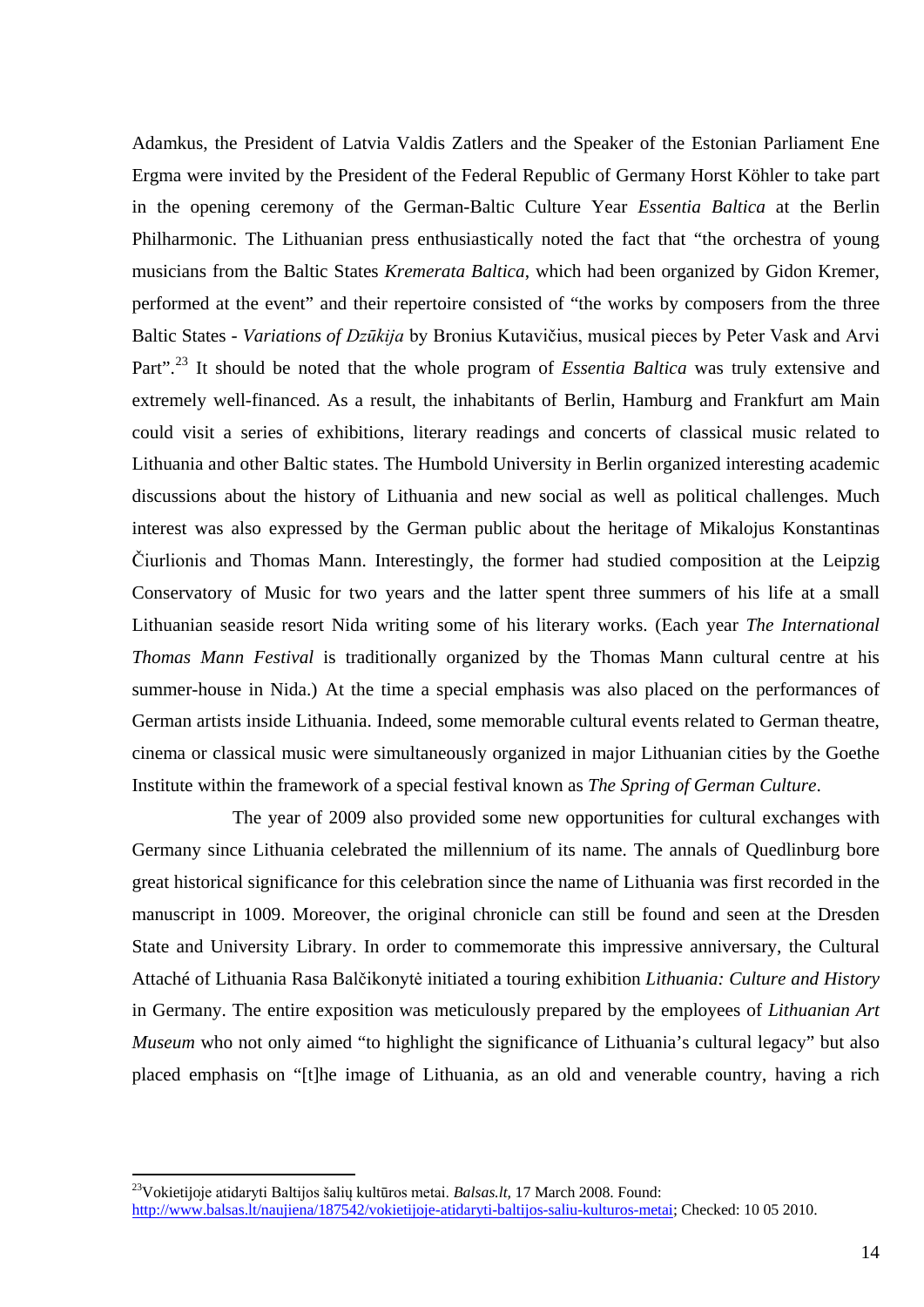Adamkus, the President of Latvia Valdis Zatlers and the Speaker of the Estonian Parliament Ene Ergma were invited by the President of the Federal Republic of Germany Horst Köhler to take part in the opening ceremony of the German-Baltic Culture Year *Essentia Baltica* at the Berlin Philharmonic. The Lithuanian press enthusiastically noted the fact that "the orchestra of young musicians from the Baltic States *Kremerata Baltica*, which had been organized by Gidon Kremer, performed at the event" and their repertoire consisted of "the works by composers from the three Baltic States - *Variations of Dzūkija* by Bronius Kutavičius, musical pieces by Peter Vask and Arvi Part".<sup>[23](#page-13-0)</sup> It should be noted that the whole program of *Essentia Baltica* was truly extensive and extremely well-financed. As a result, the inhabitants of Berlin, Hamburg and Frankfurt am Main could visit a series of exhibitions, literary readings and concerts of classical music related to Lithuania and other Baltic states. The Humbold University in Berlin organized interesting academic discussions about the history of Lithuania and new social as well as political challenges. Much interest was also expressed by the German public about the heritage of Mikalojus Konstantinas Čiurlionis and Thomas Mann. Interestingly, the former had studied composition at the Leipzig Conservatory of Music for two years and the latter spent three summers of his life at a small Lithuanian seaside resort Nida writing some of his literary works. (Each year *The International Thomas Mann Festival* is traditionally organized by the Thomas Mann cultural centre at his summer-house in Nida.) At the time a special emphasis was also placed on the performances of German artists inside Lithuania. Indeed, some memorable cultural events related to German theatre, cinema or classical music were simultaneously organized in major Lithuanian cities by the Goethe Institute within the framework of a special festival known as *The Spring of German Culture*.

The year of 2009 also provided some new opportunities for cultural exchanges with Germany since Lithuania celebrated the millennium of its name. The annals of Quedlinburg bore great historical significance for this celebration since the name of Lithuania was first recorded in the manuscript in 1009. Moreover, the original chronicle can still be found and seen at the Dresden State and University Library. In order to commemorate this impressive anniversary, the Cultural Attaché of Lithuania Rasa Balčikonytė initiated a touring exhibition *Lithuania: Culture and History* in Germany. The entire exposition was meticulously prepared by the employees of *Lithuanian Art Museum* who not only aimed "to highlight the significance of Lithuania's cultural legacy" but also placed emphasis on "[t]he image of Lithuania, as an old and venerable country, having a rich

<span id="page-13-0"></span> <sup>23</sup>Vokietijoje atidaryti Baltijos šalių kultūros metai. *Balsas.lt,* 17 March 2008. Found: [http://www.balsas.lt/naujiena/187542/vokietijoje-atidaryti-baltijos-saliu-kulturos-metai;](http://www.balsas.lt/naujiena/187542/vokietijoje-atidaryti-baltijos-saliu-kulturos-metai) Checked: 10 05 2010.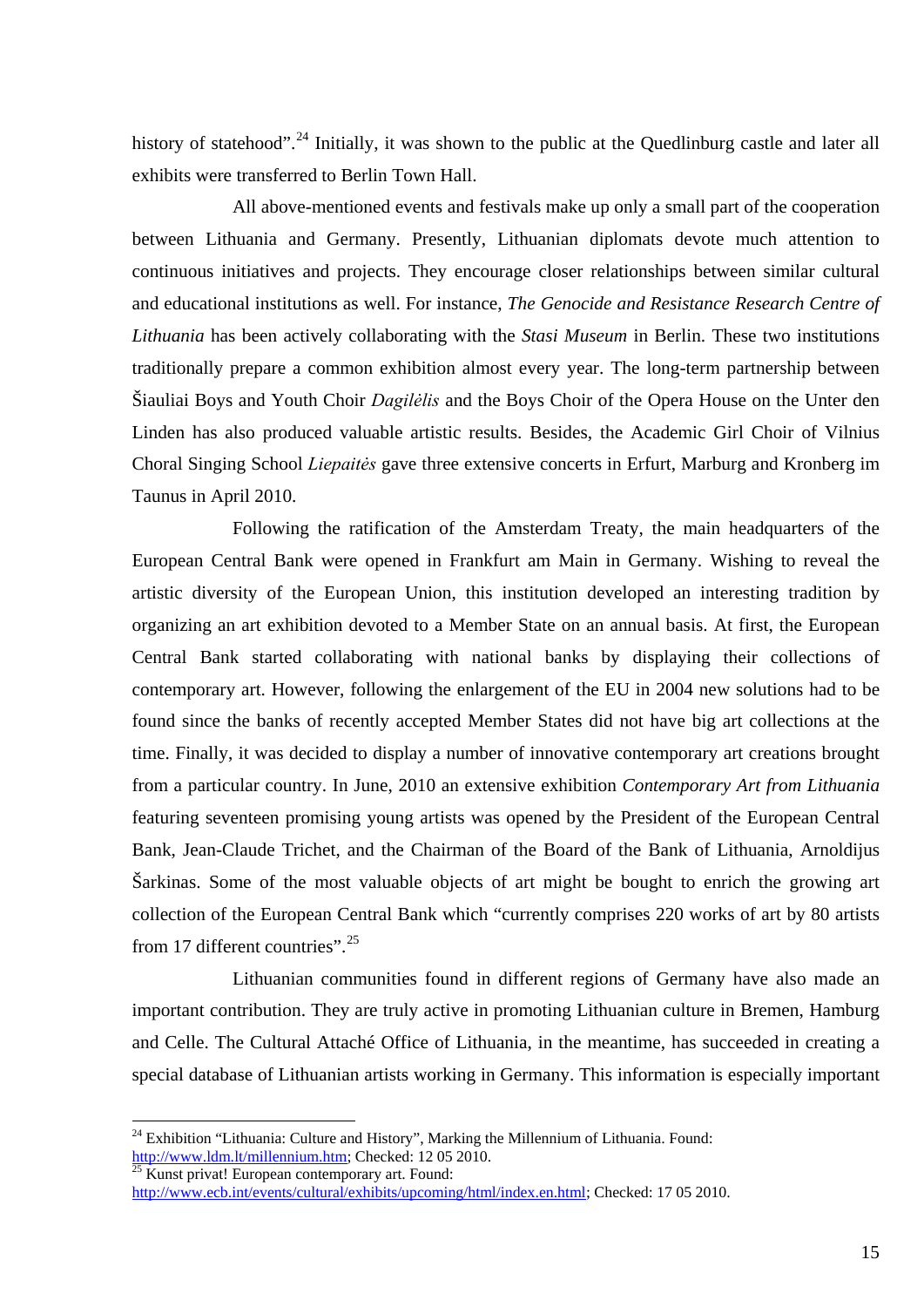history of statehood".<sup>[24](#page-14-0)</sup> Initially, it was shown to the public at the Quedlinburg castle and later all exhibits were transferred to Berlin Town Hall.

All above-mentioned events and festivals make up only a small part of the cooperation between Lithuania and Germany. Presently, Lithuanian diplomats devote much attention to continuous initiatives and projects. They encourage closer relationships between similar cultural and educational institutions as well. For instance, *The Genocide and Resistance Research Centre of Lithuania* has been actively collaborating with the *Stasi Museum* in Berlin. These two institutions traditionally prepare a common exhibition almost every year. The long-term partnership between Šiauliai Boys and Youth Choir *Dagilėlis* and the Boys Choir of the Opera House on the Unter den Linden has also produced valuable artistic results. Besides, the Academic Girl Choir of Vilnius Choral Singing School *Liepaitės* gave three extensive concerts in Erfurt, Marburg and Kronberg im Taunus in April 2010.

Following the ratification of the Amsterdam Treaty, the main headquarters of the European Central Bank were opened in Frankfurt am Main in Germany. Wishing to reveal the artistic diversity of the European Union, this institution developed an interesting tradition by organizing an art exhibition devoted to a Member State on an annual basis. At first, the European Central Bank started collaborating with national banks by displaying their collections of contemporary art. However, following the enlargement of the EU in 2004 new solutions had to be found since the banks of recently accepted Member States did not have big art collections at the time. Finally, it was decided to display a number of innovative contemporary art creations brought from a particular country. In June, 2010 an extensive exhibition *Contemporary Art from Lithuania* featuring seventeen promising young artists was opened by the President of the European Central Bank, Jean-Claude Trichet, and the Chairman of the Board of the Bank of Lithuania, Arnoldijus Šarkinas. Some of the most valuable objects of art might be bought to enrich the growing art collection of the European Central Bank which "currently comprises 220 works of art by 80 artists from 17 different countries".<sup>[25](#page-14-1)</sup>

Lithuanian communities found in different regions of Germany have also made an important contribution. They are truly active in promoting Lithuanian culture in Bremen, Hamburg and Celle. The Cultural Attaché Office of Lithuania, in the meantime, has succeeded in creating a special database of Lithuanian artists working in Germany. This information is especially important

<sup>&</sup>lt;sup>24</sup> Exhibition "Lithuania: Culture and History", Marking the Millennium of Lithuania. Found: http://www.ldm.lt/millennium.htm; Checked: 12 05 2010.

<span id="page-14-1"></span><span id="page-14-0"></span> $\frac{25 \text{ Kunst privat}}{25 \text{ Kunst privat}}$  European contemporary art. Found: [http://www.ecb.int/events/cultural/exhibits/upcoming/html/index.en.html;](http://www.ecb.int/events/cultural/exhibits/upcoming/html/index.en.html) Checked: 17 05 2010.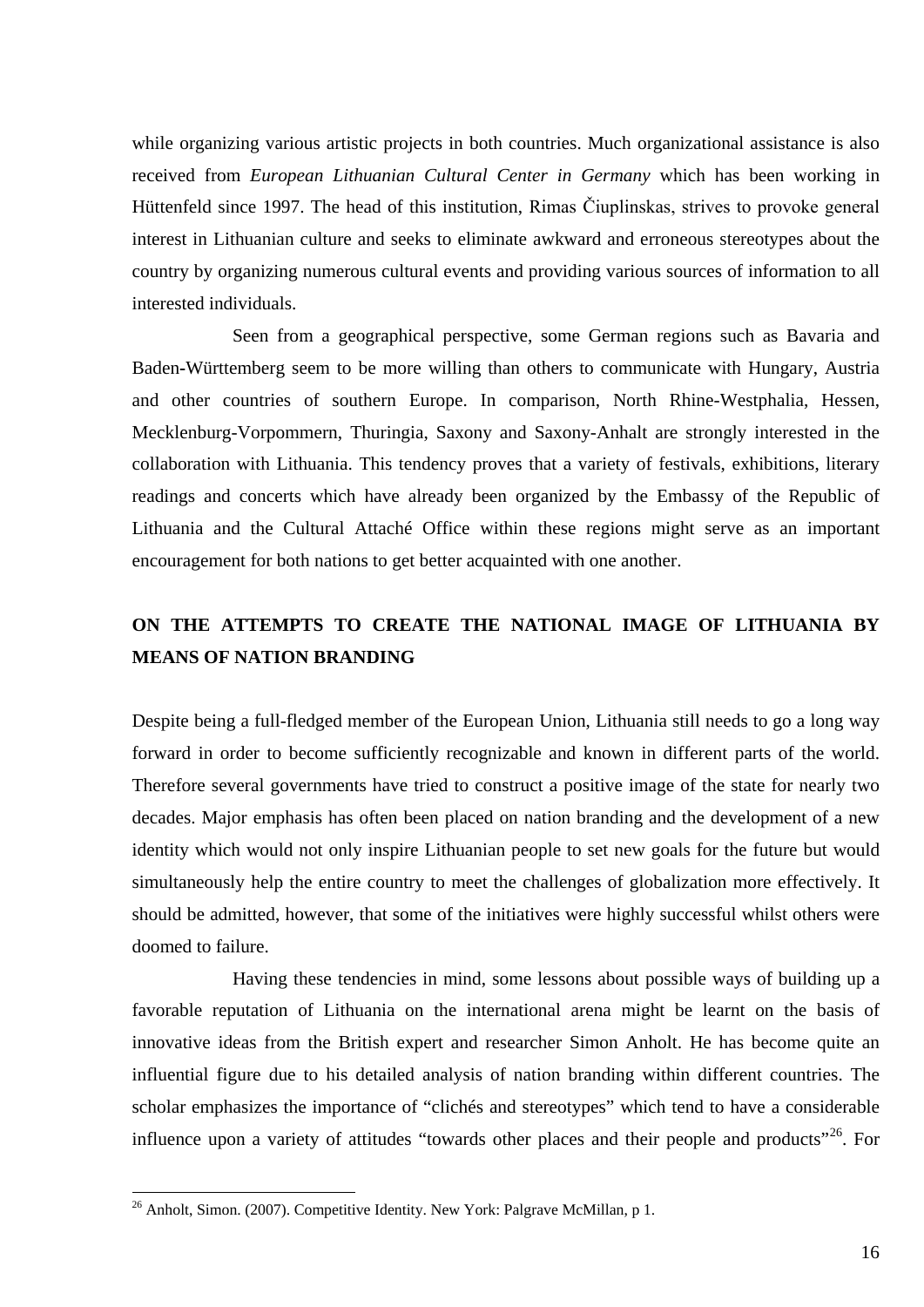while organizing various artistic projects in both countries. Much organizational assistance is also received from *European Lithuanian Cultural Center in Germany* which has been working in Hüttenfeld since 1997. The head of this institution, Rimas Čiuplinskas, strives to provoke general interest in Lithuanian culture and seeks to eliminate awkward and erroneous stereotypes about the country by organizing numerous cultural events and providing various sources of information to all interested individuals.

Seen from a geographical perspective, some German regions such as Bavaria and Baden**-**Württemberg seem to be more willing than others to communicate with Hungary, Austria and other countries of southern Europe. In comparison, North Rhine-Westphalia, Hessen, Mecklenburg-Vorpommern, Thuringia, Saxony and Saxony-Anhalt are strongly interested in the collaboration with Lithuania. This tendency proves that a variety of festivals, exhibitions, literary readings and concerts which have already been organized by the Embassy of the Republic of Lithuania and the Cultural Attaché Office within these regions might serve as an important encouragement for both nations to get better acquainted with one another.

## **ON THE ATTEMPTS TO CREATE THE NATIONAL IMAGE OF LITHUANIA BY MEANS OF NATION BRANDING**

Despite being a full-fledged member of the European Union, Lithuania still needs to go a long way forward in order to become sufficiently recognizable and known in different parts of the world. Therefore several governments have tried to construct a positive image of the state for nearly two decades. Major emphasis has often been placed on nation branding and the development of a new identity which would not only inspire Lithuanian people to set new goals for the future but would simultaneously help the entire country to meet the challenges of globalization more effectively. It should be admitted, however, that some of the initiatives were highly successful whilst others were doomed to failure.

Having these tendencies in mind, some lessons about possible ways of building up a favorable reputation of Lithuania on the international arena might be learnt on the basis of innovative ideas from the British expert and researcher Simon Anholt. He has become quite an influential figure due to his detailed analysis of nation branding within different countries. The scholar emphasizes the importance of "clichés and stereotypes" which tend to have a considerable influence upon a variety of attitudes "towards other places and their people and products"<sup>[26](#page-15-0)</sup>. For

<span id="page-15-0"></span><sup>&</sup>lt;sup>26</sup> Anholt, Simon. (2007). Competitive Identity. New York: Palgrave McMillan, p 1.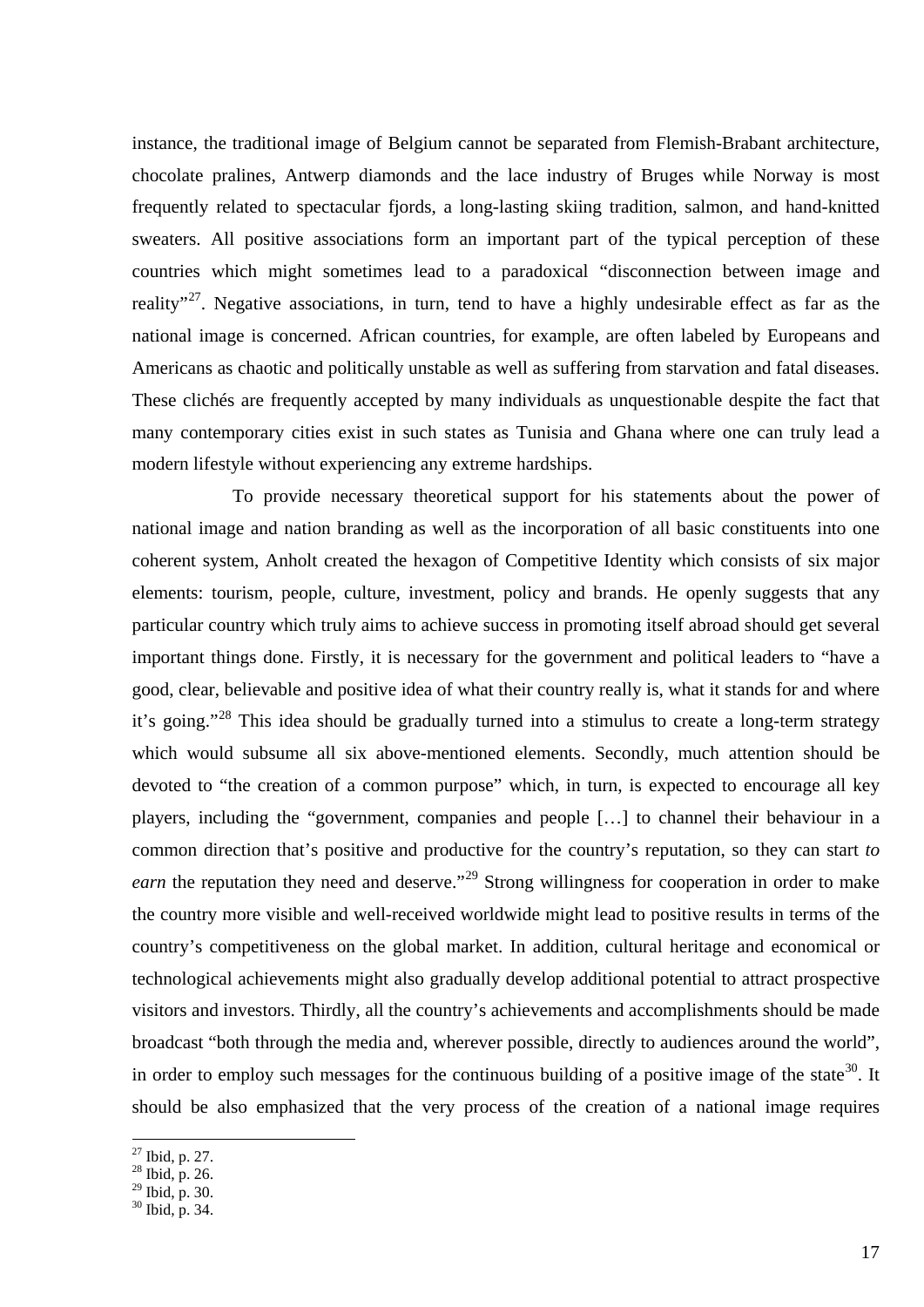instance, the traditional image of Belgium cannot be separated from Flemish-Brabant architecture, chocolate pralines, Antwerp diamonds and the lace industry of Bruges while Norway is most frequently related to spectacular fjords, a long-lasting skiing tradition, salmon, and hand-knitted sweaters. All positive associations form an important part of the typical perception of these countries which might sometimes lead to a paradoxical "disconnection between image and reality"<sup>[27](#page-16-0)</sup>. Negative associations, in turn, tend to have a highly undesirable effect as far as the national image is concerned. African countries, for example, are often labeled by Europeans and Americans as chaotic and politically unstable as well as suffering from starvation and fatal diseases. These clichés are frequently accepted by many individuals as unquestionable despite the fact that many contemporary cities exist in such states as Tunisia and Ghana where one can truly lead a modern lifestyle without experiencing any extreme hardships.

To provide necessary theoretical support for his statements about the power of national image and nation branding as well as the incorporation of all basic constituents into one coherent system, Anholt created the hexagon of Competitive Identity which consists of six major elements: tourism, people, culture, investment, policy and brands. He openly suggests that any particular country which truly aims to achieve success in promoting itself abroad should get several important things done. Firstly, it is necessary for the government and political leaders to "have a good, clear, believable and positive idea of what their country really is, what it stands for and where it's going."<sup>[28](#page-16-1)</sup> This idea should be gradually turned into a stimulus to create a long-term strategy which would subsume all six above-mentioned elements. Secondly, much attention should be devoted to "the creation of a common purpose" which, in turn, is expected to encourage all key players, including the "government, companies and people […] to channel their behaviour in a common direction that's positive and productive for the country's reputation, so they can start *to earn* the reputation they need and deserve."<sup>[29](#page-16-2)</sup> Strong willingness for cooperation in order to make the country more visible and well-received worldwide might lead to positive results in terms of the country's competitiveness on the global market. In addition, cultural heritage and economical or technological achievements might also gradually develop additional potential to attract prospective visitors and investors. Thirdly, all the country's achievements and accomplishments should be made broadcast "both through the media and, wherever possible, directly to audiences around the world", in order to employ such messages for the continuous building of a positive image of the state<sup>[30](#page-16-3)</sup>. It should be also emphasized that the very process of the creation of a national image requires

 $\frac{27}{27}$  Ibid, p. 27.<br> $\frac{28}{28}$  Ibid, p. 26.

<span id="page-16-1"></span><span id="page-16-0"></span>

<span id="page-16-3"></span><span id="page-16-2"></span>

 $^{29}$  Ibid, p. 30.<br> $^{30}$  Ibid, p. 34.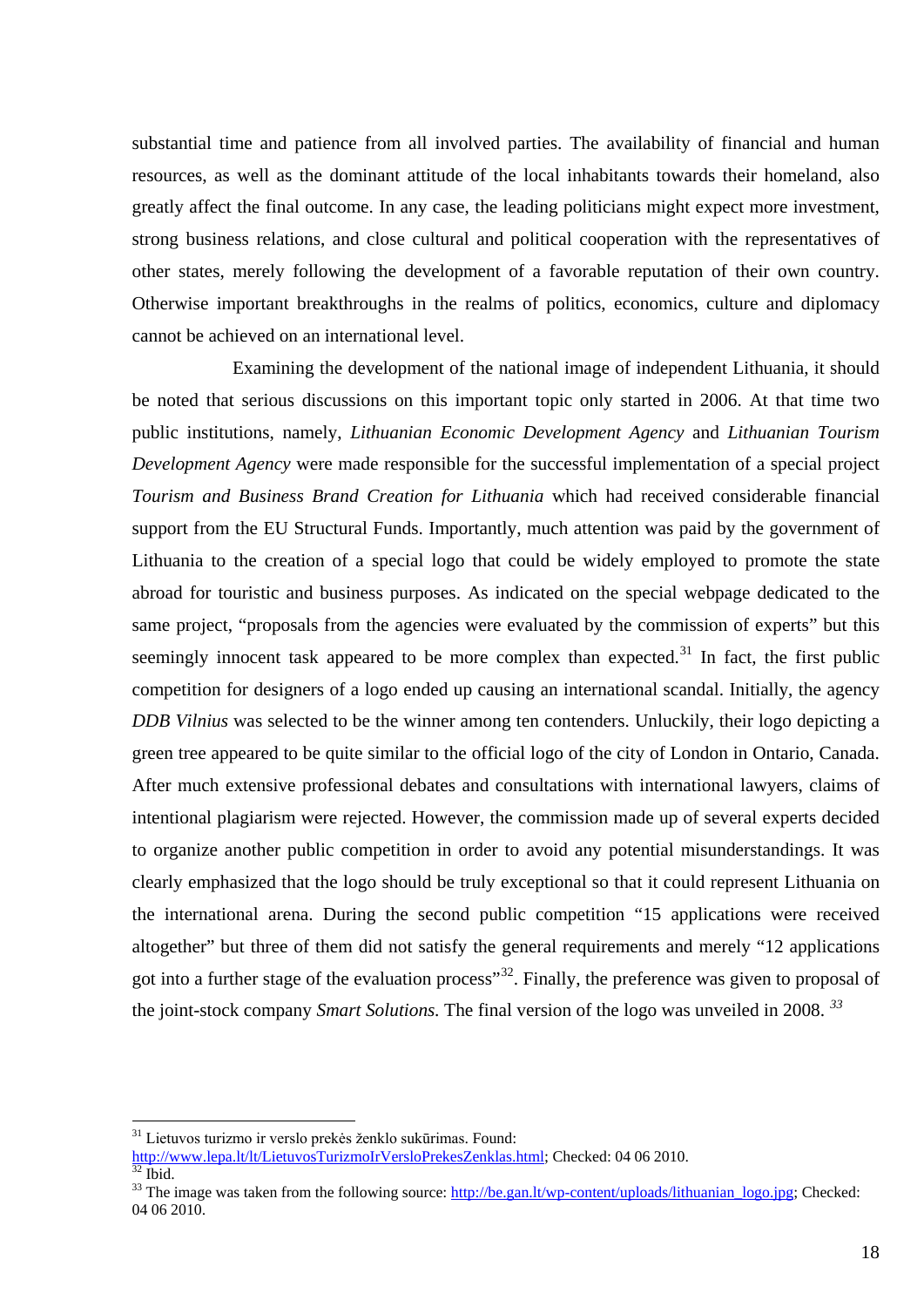substantial time and patience from all involved parties. The availability of financial and human resources, as well as the dominant attitude of the local inhabitants towards their homeland, also greatly affect the final outcome. In any case, the leading politicians might expect more investment, strong business relations, and close cultural and political cooperation with the representatives of other states, merely following the development of a favorable reputation of their own country. Otherwise important breakthroughs in the realms of politics, economics, culture and diplomacy cannot be achieved on an international level.

Examining the development of the national image of independent Lithuania, it should be noted that serious discussions on this important topic only started in 2006. At that time two public institutions, namely, *Lithuanian Economic Development Agency* and *Lithuanian Tourism Development Agency* were made responsible for the successful implementation of a special project *Tourism and Business Brand Creation for Lithuania* which had received considerable financial support from the EU Structural Funds. Importantly, much attention was paid by the government of Lithuania to the creation of a special logo that could be widely employed to promote the state abroad for touristic and business purposes. As indicated on the special webpage dedicated to the same project, "proposals from the agencies were evaluated by the commission of experts" but this seemingly innocent task appeared to be more complex than expected.<sup>[31](#page-17-0)</sup> In fact, the first public competition for designers of a logo ended up causing an international scandal. Initially, the agency *DDB Vilnius* was selected to be the winner among ten contenders. Unluckily, their logo depicting a green tree appeared to be quite similar to the official logo of the city of London in Ontario, Canada. After much extensive professional debates and consultations with international lawyers, claims of intentional plagiarism were rejected. However, the commission made up of several experts decided to organize another public competition in order to avoid any potential misunderstandings. It was clearly emphasized that the logo should be truly exceptional so that it could represent Lithuania on the international arena. During the second public competition "15 applications were received altogether" but three of them did not satisfy the general requirements and merely "12 applications got into a further stage of the evaluation process<sup>[32](#page-17-1)</sup>. Finally, the preference was given to proposal of the joint-stock company *Smart Solutions.* The final version of the logo was unveiled in 2008. *[33](#page-17-2)*

<span id="page-17-0"></span> $31$  Lietuvos turizmo ir verslo prekės ženklo sukūrimas. Found:<br>http://www.lepa.lt/lt/LietuvosTurizmoIrVersloPrekesZenklas.html; Checked: 04 06 2010.

 $\frac{1}{32}$  ibid.<br><sup>33</sup> The image was taken from the following source[: http://be.gan.lt/wp-content/uploads/lithuanian\\_logo.jpg;](http://be.gan.lt/wp-content/uploads/lithuanian_logo.jpg) Checked:

<span id="page-17-2"></span><span id="page-17-1"></span><sup>04 06</sup> 2010.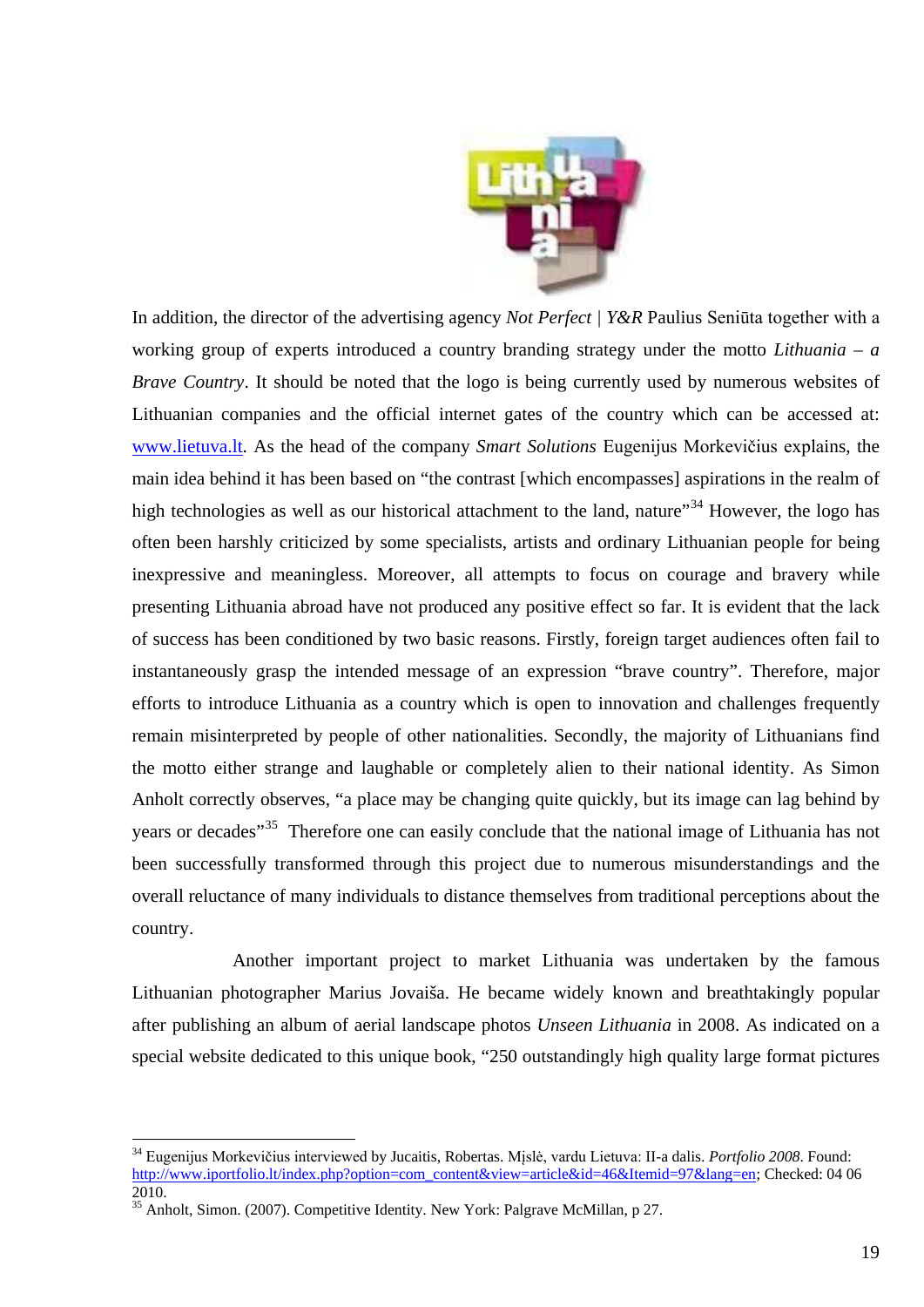

In addition, the director of the advertising agency *Not Perfect | Y&R* Paulius Seniūta together with a working group of experts introduced a country branding strategy under the motto *Lithuania – a Brave Country*. It should be noted that the logo is being currently used by numerous websites of Lithuanian companies and the official internet gates of the country which can be accessed at: [www.lietuva.lt.](http://www.lietuva.lt/) As the head of the company *Smart Solutions* Eugenijus Morkevičius explains, the main idea behind it has been based on "the contrast [which encompasses] aspirations in the realm of high technologies as well as our historical attachment to the land, nature<sup>[34](#page-18-0)</sup> However, the logo has often been harshly criticized by some specialists, artists and ordinary Lithuanian people for being inexpressive and meaningless. Moreover, all attempts to focus on courage and bravery while presenting Lithuania abroad have not produced any positive effect so far. It is evident that the lack of success has been conditioned by two basic reasons. Firstly, foreign target audiences often fail to instantaneously grasp the intended message of an expression "brave country". Therefore, major efforts to introduce Lithuania as a country which is open to innovation and challenges frequently remain misinterpreted by people of other nationalities. Secondly, the majority of Lithuanians find the motto either strange and laughable or completely alien to their national identity. As Simon Anholt correctly observes, "a place may be changing quite quickly, but its image can lag behind by years or decades<sup>"[35](#page-18-1)</sup> Therefore one can easily conclude that the national image of Lithuania has not been successfully transformed through this project due to numerous misunderstandings and the overall reluctance of many individuals to distance themselves from traditional perceptions about the country.

Another important project to market Lithuania was undertaken by the famous Lithuanian photographer Marius Jovaiša. He became widely known and breathtakingly popular after publishing an album of aerial landscape photos *Unseen Lithuania* in 2008. As indicated on a special website dedicated to this unique book, "250 outstandingly high quality large format pictures

<span id="page-18-0"></span> <sup>34</sup> Eugenijus Morkevičius interviewed by Jucaitis, Robertas. Mįslė, vardu Lietuva: II-a dalis. *Portfolio <sup>2008</sup>*. Found: [http://www.iportfolio.lt/index.php?option=com\\_content&view=article&id=46&Itemid=97&lang=en;](http://www.iportfolio.lt/index.php?option=com_content&view=article&id=46&Itemid=97&lang=en) Checked: 04 06 2010. <sup>35</sup> Anholt, Simon. (2007). Competitive Identity. New York: Palgrave McMillan, p 27.

<span id="page-18-1"></span>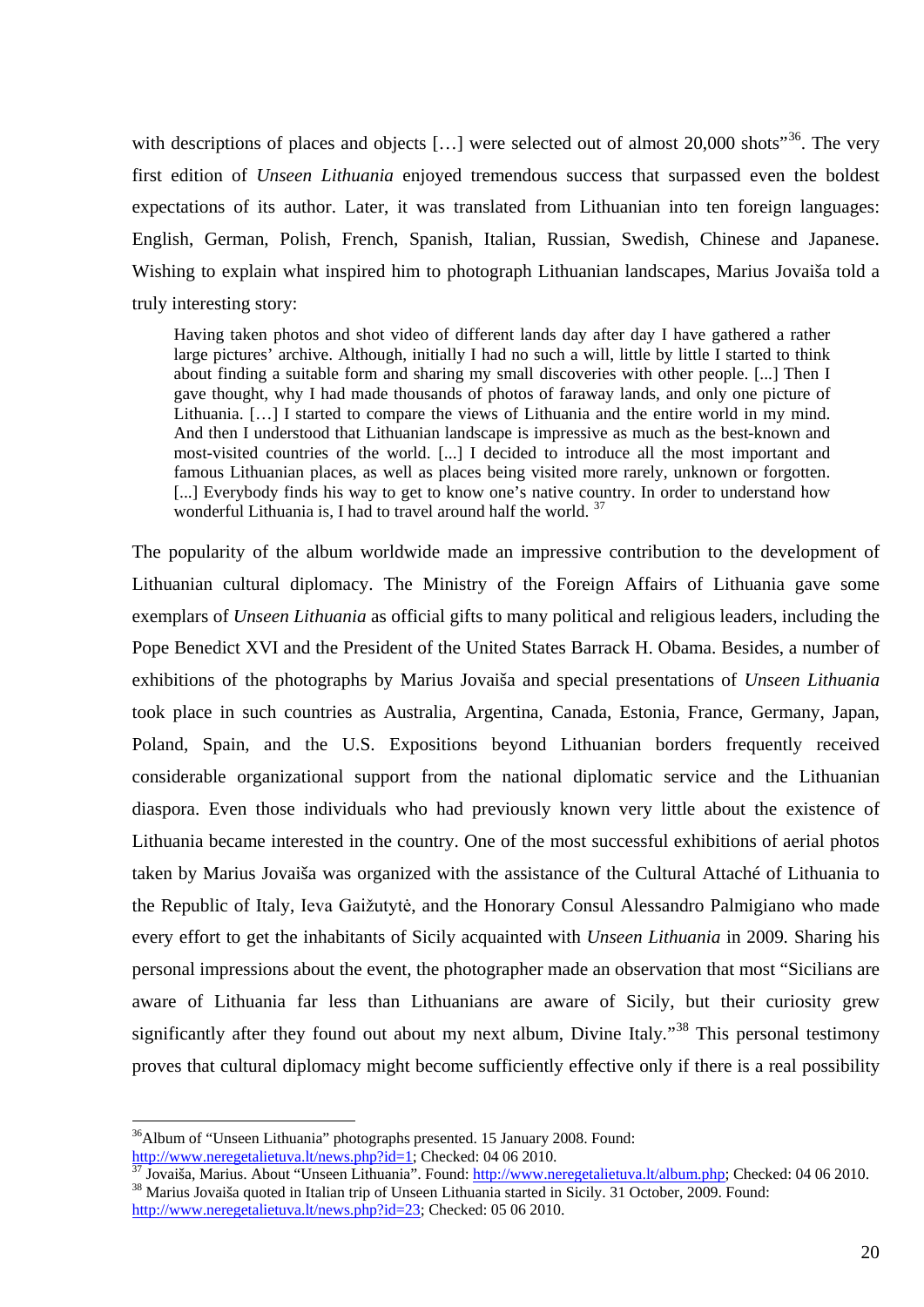with descriptions of places and objects [...] were selected out of almost 20,000 shots"<sup>[36](#page-19-0)</sup>. The very first edition of *Unseen Lithuania* enjoyed tremendous success that surpassed even the boldest expectations of its author. Later, it was translated from Lithuanian into ten foreign languages: English, German, Polish, French, Spanish, Italian, Russian, Swedish, Chinese and Japanese. Wishing to explain what inspired him to photograph Lithuanian landscapes, Marius Jovaiša told a truly interesting story:

Having taken photos and shot video of different lands day after day I have gathered a rather large pictures' archive. Although, initially I had no such a will, little by little I started to think about finding a suitable form and sharing my small discoveries with other people. [...] Then I gave thought, why I had made thousands of photos of faraway lands, and only one picture of Lithuania. […] I started to compare the views of Lithuania and the entire world in my mind. And then I understood that Lithuanian landscape is impressive as much as the best-known and most-visited countries of the world. [...] I decided to introduce all the most important and famous Lithuanian places, as well as places being visited more rarely, unknown or forgotten. [...] Everybody finds his way to get to know one's native country. In order to understand how wonderful Lithuania is, I had to travel around half the world. <sup>[37](#page-19-1)</sup>

The popularity of the album worldwide made an impressive contribution to the development of Lithuanian cultural diplomacy. The Ministry of the Foreign Affairs of Lithuania gave some exemplars of *Unseen Lithuania* as official gifts to many political and religious leaders, including the Pope Benedict XVI and the President of the United States Barrack H. Obama. Besides, a number of exhibitions of the photographs by Marius Jovaiša and special presentations of *Unseen Lithuania* took place in such countries as Australia, Argentina, Canada, Estonia, France, Germany, Japan, Poland, Spain, and the U.S. Expositions beyond Lithuanian borders frequently received considerable organizational support from the national diplomatic service and the Lithuanian diaspora. Even those individuals who had previously known very little about the existence of Lithuania became interested in the country. One of the most successful exhibitions of aerial photos taken by Marius Jovaiša was organized with the assistance of the Cultural Attaché of Lithuania to the Republic of Italy, Ieva Gaižutytė, and the Honorary Consul Alessandro Palmigiano who made every effort to get the inhabitants of Sicily acquainted with *Unseen Lithuania* in 2009*.* Sharing his personal impressions about the event, the photographer made an observation that most "Sicilians are aware of Lithuania far less than Lithuanians are aware of Sicily, but their curiosity grew significantly after they found out about my next album, Divine Italy*.*"[38](#page-19-2) This personal testimony proves that cultural diplomacy might become sufficiently effective only if there is a real possibility

<span id="page-19-0"></span><sup>&</sup>lt;sup>36</sup>Album of "Unseen Lithuania" photographs presented. 15 January 2008. Found: http://www.neregetalietuva.lt/news.php?id=1; Checked: 04 06 2010.

<span id="page-19-2"></span><span id="page-19-1"></span> $\frac{37}{37}$  Jovaiša, Marius. About "Unseen Lithuania". Found: [http://www.neregetalietuva.lt/album.php;](http://www.neregetalietuva.lt/album.php) Checked: 04 06 2010.<br><sup>38</sup> Marius Jovaiša quoted in Italian trip of Unseen Lithuania started in Sicily. 31 October, 200 [http://www.neregetalietuva.lt/news.php?id=23;](http://www.neregetalietuva.lt/news.php?id=23) Checked: 05 06 2010.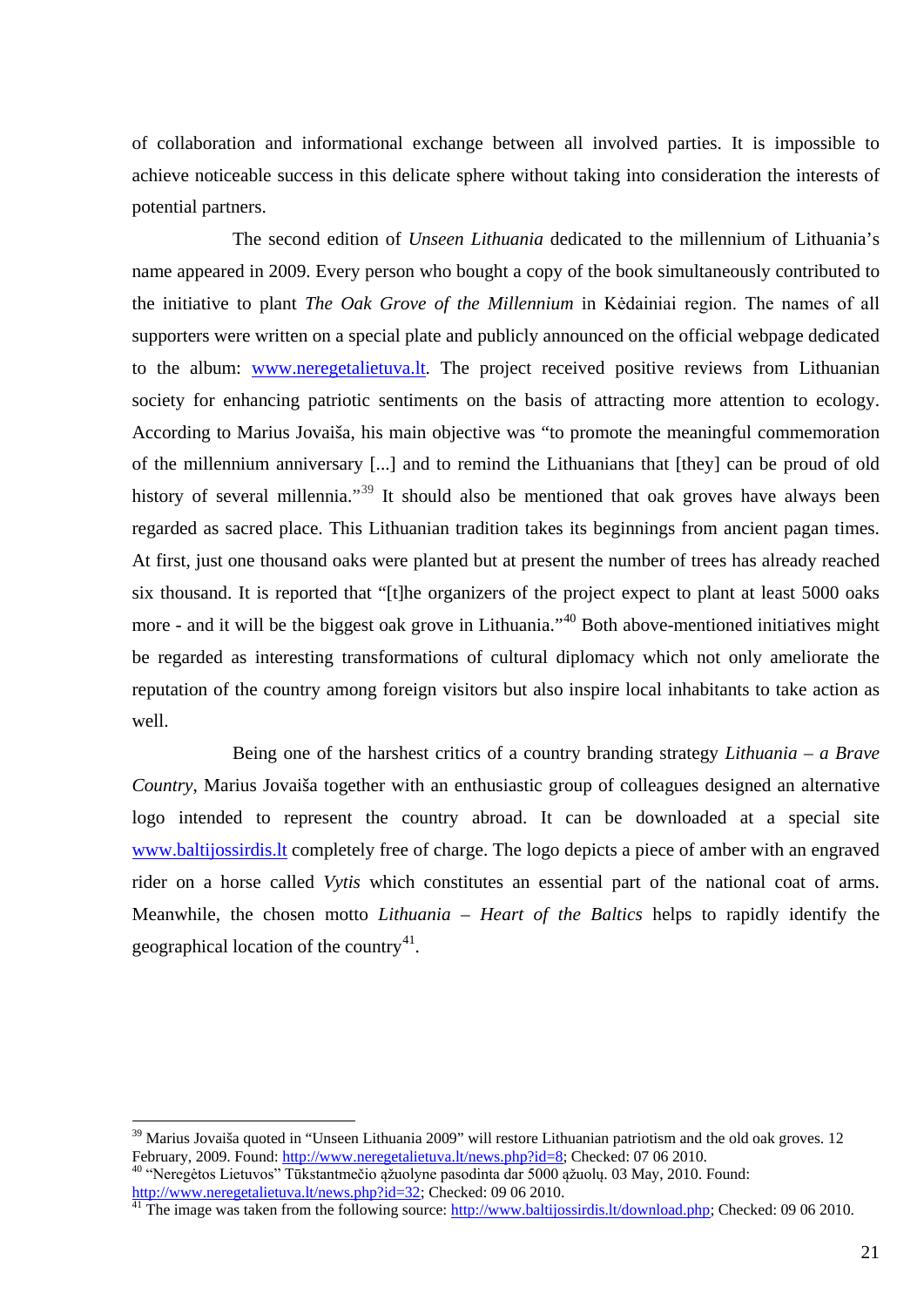of collaboration and informational exchange between all involved parties. It is impossible to achieve noticeable success in this delicate sphere without taking into consideration the interests of potential partners.

The second edition of *Unseen Lithuania* dedicated to the millennium of Lithuania's name appeared in 2009. Every person who bought a copy of the book simultaneously contributed to the initiative to plant *The Oak Grove of the Millennium* in Kėdainiai region. The names of all supporters were written on a special plate and publicly announced on the official webpage dedicated to the album: [www.neregetalietuva.lt.](http://www.neregetalietuva.lt/) The project received positive reviews from Lithuanian society for enhancing patriotic sentiments on the basis of attracting more attention to ecology. According to Marius Jovaiša, his main objective was "to promote the meaningful commemoration of the millennium anniversary [...] and to remind the Lithuanians that [they] can be proud of old history of several millennia."<sup>[39](#page-20-0)</sup> It should also be mentioned that oak groves have always been regarded as sacred place. This Lithuanian tradition takes its beginnings from ancient pagan times. At first, just one thousand oaks were planted but at present the number of trees has already reached six thousand. It is reported that "[t]he organizers of the project expect to plant at least 5000 oaks more - and it will be the biggest oak grove in Lithuania."<sup>[40](#page-20-1)</sup> Both above-mentioned initiatives might be regarded as interesting transformations of cultural diplomacy which not only ameliorate the reputation of the country among foreign visitors but also inspire local inhabitants to take action as well.

Being one of the harshest critics of a country branding strategy *Lithuania – a Brave Country*, Marius Jovaiša together with an enthusiastic group of colleagues designed an alternative logo intended to represent the country abroad. It can be downloaded at a special site [www.baltijossirdis.lt](http://www.baltijossirdis.lt/) completely free of charge. The logo depicts a piece of amber with an engraved rider on a horse called *Vytis* which constitutes an essential part of the national coat of arms. Meanwhile, the chosen motto *Lithuania – Heart of the Baltics* helps to rapidly identify the geographical location of the country<sup>[41](#page-20-2)</sup>.

<span id="page-20-0"></span><sup>&</sup>lt;sup>39</sup> Marius Jovaiša quoted in "Unseen Lithuania 2009" will restore Lithuanian patriotism and the old oak groves. 12 February, 2009. Found: http://www.neregetalietuva.lt/news.php?id=8; Checked: 07 06 2010.

<span id="page-20-1"></span><sup>&</sup>lt;sup>40</sup> "Neregėtos Lietuvos" Tūkstantmečio ąžuolyne pasodinta dar 5000 ąžuolų. 03 May, 2010. Found: [http://www.neregetalietuva.lt/news.php?id=32;](http://www.neregetalietuva.lt/news.php?id=32) Checked: 09 06 2010.<br><sup>41</sup> The image was taken from the following source[: http://www.baltijossirdis.lt/download.php;](http://www.baltijossirdis.lt/download.php) Checked: 09 06 2010.

<span id="page-20-2"></span>